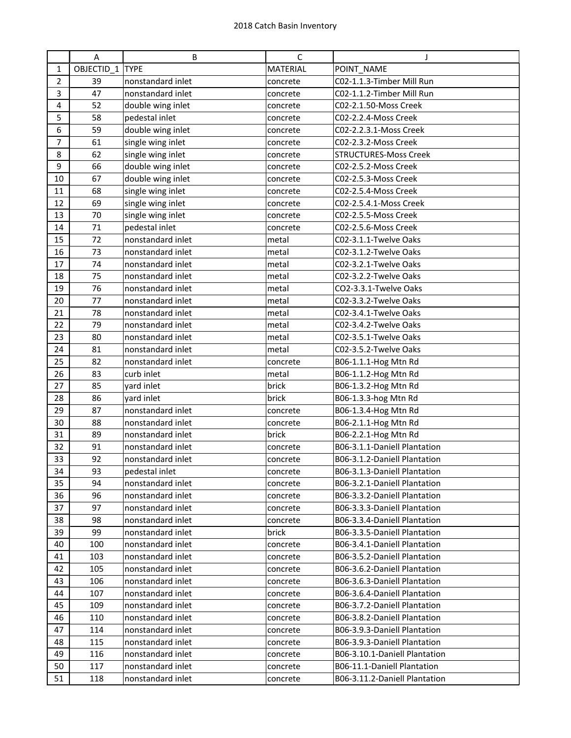|                | A            | B                 | C               | J                             |
|----------------|--------------|-------------------|-----------------|-------------------------------|
| $\mathbf 1$    | $OBJECTID_1$ | <b>TYPE</b>       | <b>MATERIAL</b> | POINT_NAME                    |
| $\overline{2}$ | 39           | nonstandard inlet | concrete        | C02-1.1.3-Timber Mill Run     |
| 3              | 47           | nonstandard inlet | concrete        | C02-1.1.2-Timber Mill Run     |
| $\overline{4}$ | 52           | double wing inlet | concrete        | C02-2.1.50-Moss Creek         |
| 5              | 58           | pedestal inlet    | concrete        | C02-2.2.4-Moss Creek          |
| 6              | 59           | double wing inlet | concrete        | C02-2.2.3.1-Moss Creek        |
| $\overline{7}$ | 61           | single wing inlet | concrete        | C02-2.3.2-Moss Creek          |
| 8              | 62           | single wing inlet | concrete        | <b>STRUCTURES-Moss Creek</b>  |
| 9              | 66           | double wing inlet | concrete        | C02-2.5.2-Moss Creek          |
| 10             | 67           | double wing inlet | concrete        | C02-2.5.3-Moss Creek          |
| 11             | 68           | single wing inlet | concrete        | C02-2.5.4-Moss Creek          |
| 12             | 69           | single wing inlet | concrete        | C02-2.5.4.1-Moss Creek        |
| 13             | 70           | single wing inlet | concrete        | C02-2.5.5-Moss Creek          |
| 14             | 71           | pedestal inlet    | concrete        | C02-2.5.6-Moss Creek          |
| 15             | 72           | nonstandard inlet | metal           | C02-3.1.1-Twelve Oaks         |
| 16             | 73           | nonstandard inlet | metal           | C02-3.1.2-Twelve Oaks         |
| 17             | 74           | nonstandard inlet | metal           | C02-3.2.1-Twelve Oaks         |
| 18             | 75           | nonstandard inlet | metal           | C02-3.2.2-Twelve Oaks         |
| 19             | 76           | nonstandard inlet | metal           | CO2-3.3.1-Twelve Oaks         |
| 20             | 77           | nonstandard inlet | metal           | C02-3.3.2-Twelve Oaks         |
| 21             | 78           | nonstandard inlet | metal           | C02-3.4.1-Twelve Oaks         |
| 22             | 79           | nonstandard inlet | metal           | C02-3.4.2-Twelve Oaks         |
| 23             | 80           | nonstandard inlet | metal           | C02-3.5.1-Twelve Oaks         |
| 24             | 81           | nonstandard inlet | metal           | C02-3.5.2-Twelve Oaks         |
| 25             | 82           | nonstandard inlet | concrete        | B06-1.1.1-Hog Mtn Rd          |
| 26             | 83           | curb inlet        | metal           | B06-1.1.2-Hog Mtn Rd          |
| 27             | 85           | yard inlet        | brick           | B06-1.3.2-Hog Mtn Rd          |
| 28             | 86           | yard inlet        | brick           | B06-1.3.3-hog Mtn Rd          |
| 29             | 87           | nonstandard inlet | concrete        | B06-1.3.4-Hog Mtn Rd          |
| 30             | 88           | nonstandard inlet | concrete        | B06-2.1.1-Hog Mtn Rd          |
| 31             | 89           | nonstandard inlet | brick           | B06-2.2.1-Hog Mtn Rd          |
| 32             | 91           | nonstandard inlet | concrete        | B06-3.1.1-Daniell Plantation  |
| 33             | 92           | nonstandard inlet | concrete        | B06-3.1.2-Daniell Plantation  |
| 34             | 93           | pedestal inlet    | concrete        | B06-3.1.3-Daniell Plantation  |
| 35             | 94           | nonstandard inlet | concrete        | B06-3.2.1-Daniell Plantation  |
| 36             | 96           | nonstandard inlet | concrete        | B06-3.3.2-Daniell Plantation  |
| 37             | 97           | nonstandard inlet | concrete        | B06-3.3.3-Daniell Plantation  |
| 38             | 98           | nonstandard inlet | concrete        | B06-3.3.4-Daniell Plantation  |
| 39             | 99           | nonstandard inlet | brick           | B06-3.3.5-Daniell Plantation  |
| 40             | 100          | nonstandard inlet | concrete        | B06-3.4.1-Daniell Plantation  |
| 41             | 103          | nonstandard inlet | concrete        | B06-3.5.2-Daniell Plantation  |
| 42             | 105          | nonstandard inlet | concrete        | B06-3.6.2-Daniell Plantation  |
| 43             | 106          | nonstandard inlet | concrete        | B06-3.6.3-Daniell Plantation  |
| 44             | 107          | nonstandard inlet | concrete        | B06-3.6.4-Daniell Plantation  |
| 45             | 109          | nonstandard inlet | concrete        | B06-3.7.2-Daniell Plantation  |
| 46             | 110          | nonstandard inlet | concrete        | B06-3.8.2-Daniell Plantation  |
| 47             | 114          | nonstandard inlet | concrete        | B06-3.9.3-Daniell Plantation  |
| 48             | 115          | nonstandard inlet | concrete        | B06-3.9.3-Daniell Plantation  |
| 49             | 116          | nonstandard inlet | concrete        | B06-3.10.1-Daniell Plantation |
| 50             | 117          | nonstandard inlet | concrete        | B06-11.1-Daniell Plantation   |
| 51             | 118          | nonstandard inlet | concrete        | B06-3.11.2-Daniell Plantation |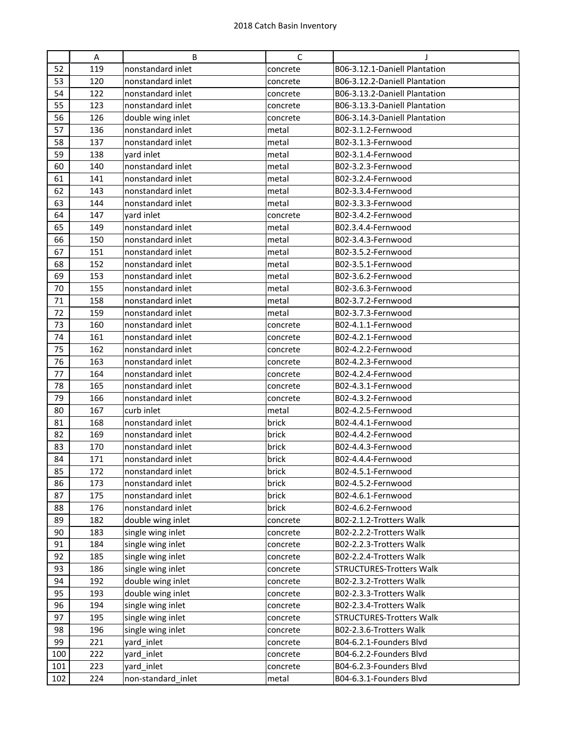|     | A   | B                  | $\mathsf{C}$ |                                 |
|-----|-----|--------------------|--------------|---------------------------------|
| 52  | 119 | nonstandard inlet  | concrete     | B06-3.12.1-Daniell Plantation   |
| 53  | 120 | nonstandard inlet  | concrete     | B06-3.12.2-Daniell Plantation   |
| 54  | 122 | nonstandard inlet  | concrete     | B06-3.13.2-Daniell Plantation   |
| 55  | 123 | nonstandard inlet  | concrete     | B06-3.13.3-Daniell Plantation   |
| 56  | 126 | double wing inlet  | concrete     | B06-3.14.3-Daniell Plantation   |
| 57  | 136 | nonstandard inlet  | metal        | B02-3.1.2-Fernwood              |
| 58  | 137 | nonstandard inlet  | metal        | B02-3.1.3-Fernwood              |
| 59  | 138 | yard inlet         | metal        | B02-3.1.4-Fernwood              |
| 60  | 140 | nonstandard inlet  | metal        | B02-3.2.3-Fernwood              |
| 61  | 141 | nonstandard inlet  | metal        | B02-3.2.4-Fernwood              |
| 62  | 143 | nonstandard inlet  | metal        | B02-3.3.4-Fernwood              |
| 63  | 144 | nonstandard inlet  | metal        | B02-3.3.3-Fernwood              |
| 64  | 147 | yard inlet         | concrete     | B02-3.4.2-Fernwood              |
| 65  | 149 | nonstandard inlet  | metal        | B02.3.4.4-Fernwood              |
| 66  | 150 | nonstandard inlet  | metal        | B02-3.4.3-Fernwood              |
| 67  | 151 | nonstandard inlet  | metal        | B02-3.5.2-Fernwood              |
| 68  | 152 | nonstandard inlet  | metal        | B02-3.5.1-Fernwood              |
| 69  | 153 | nonstandard inlet  | metal        | B02-3.6.2-Fernwood              |
| 70  | 155 | nonstandard inlet  | metal        | B02-3.6.3-Fernwood              |
| 71  | 158 | nonstandard inlet  | metal        | B02-3.7.2-Fernwood              |
| 72  | 159 | nonstandard inlet  | metal        | B02-3.7.3-Fernwood              |
| 73  | 160 | nonstandard inlet  | concrete     | B02-4.1.1-Fernwood              |
| 74  | 161 | nonstandard inlet  | concrete     | B02-4.2.1-Fernwood              |
| 75  | 162 | nonstandard inlet  | concrete     | B02-4.2.2-Fernwood              |
| 76  | 163 | nonstandard inlet  | concrete     | B02-4.2.3-Fernwood              |
| 77  | 164 | nonstandard inlet  | concrete     | B02-4.2.4-Fernwood              |
| 78  | 165 | nonstandard inlet  | concrete     | B02-4.3.1-Fernwood              |
| 79  | 166 | nonstandard inlet  | concrete     | B02-4.3.2-Fernwood              |
| 80  | 167 | curb inlet         | metal        | B02-4.2.5-Fernwood              |
| 81  | 168 | nonstandard inlet  | brick        | B02-4.4.1-Fernwood              |
| 82  | 169 | nonstandard inlet  | brick        | B02-4.4.2-Fernwood              |
| 83  | 170 | nonstandard inlet  | brick        | B02-4.4.3-Fernwood              |
| 84  | 171 | nonstandard inlet  | brick        | B02-4.4.4-Fernwood              |
| 85  | 172 | nonstandard inlet  | brick        | B02-4.5.1-Fernwood              |
| 86  | 173 | nonstandard inlet  | brick        | B02-4.5.2-Fernwood              |
| 87  | 175 | nonstandard inlet  | brick        | B02-4.6.1-Fernwood              |
| 88  | 176 | nonstandard inlet  | brick        | B02-4.6.2-Fernwood              |
| 89  | 182 | double wing inlet  | concrete     | B02-2.1.2-Trotters Walk         |
| 90  | 183 | single wing inlet  | concrete     | B02-2.2.2-Trotters Walk         |
| 91  | 184 | single wing inlet  | concrete     | B02-2.2.3-Trotters Walk         |
| 92  | 185 | single wing inlet  | concrete     | B02-2.2.4-Trotters Walk         |
| 93  | 186 | single wing inlet  | concrete     | <b>STRUCTURES-Trotters Walk</b> |
| 94  | 192 | double wing inlet  | concrete     | B02-2.3.2-Trotters Walk         |
| 95  | 193 | double wing inlet  | concrete     | B02-2.3.3-Trotters Walk         |
| 96  | 194 | single wing inlet  | concrete     | B02-2.3.4-Trotters Walk         |
| 97  | 195 | single wing inlet  | concrete     | <b>STRUCTURES-Trotters Walk</b> |
| 98  | 196 | single wing inlet  | concrete     | B02-2.3.6-Trotters Walk         |
| 99  | 221 | yard_inlet         | concrete     | B04-6.2.1-Founders Blvd         |
| 100 | 222 | yard_inlet         | concrete     | B04-6.2.2-Founders Blvd         |
| 101 | 223 | yard_inlet         | concrete     | B04-6.2.3-Founders Blvd         |
| 102 | 224 | non-standard_inlet | metal        | B04-6.3.1-Founders Blvd         |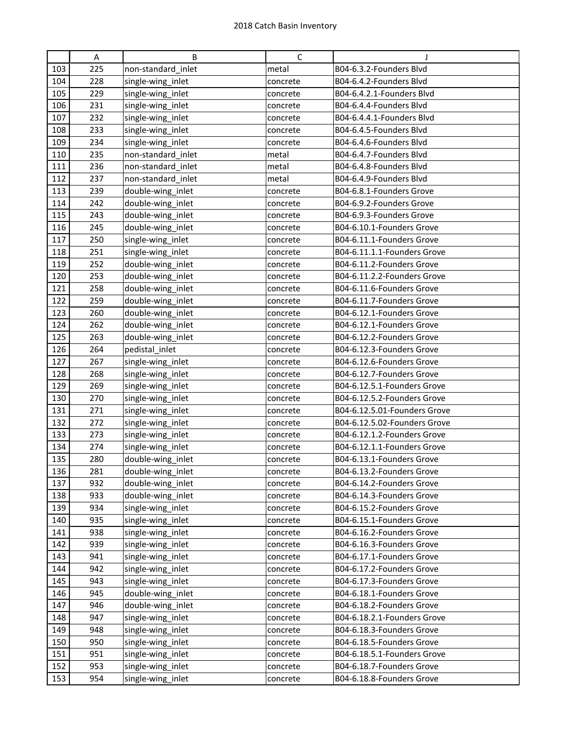|     | A   | B                  | C        | J                            |
|-----|-----|--------------------|----------|------------------------------|
| 103 | 225 | non-standard inlet | metal    | B04-6.3.2-Founders Blvd      |
| 104 | 228 | single-wing_inlet  | concrete | B04-6.4.2-Founders Blvd      |
| 105 | 229 | single-wing_inlet  | concrete | B04-6.4.2.1-Founders Blvd    |
| 106 | 231 | single-wing_inlet  | concrete | B04-6.4.4-Founders Blvd      |
| 107 | 232 | single-wing_inlet  | concrete | B04-6.4.4.1-Founders Blvd    |
| 108 | 233 | single-wing_inlet  | concrete | B04-6.4.5-Founders Blvd      |
| 109 | 234 | single-wing_inlet  | concrete | B04-6.4.6-Founders Blvd      |
| 110 | 235 | non-standard_inlet | metal    | B04-6.4.7-Founders Blvd      |
| 111 | 236 | non-standard_inlet | metal    | B04-6.4.8-Founders Blvd      |
| 112 | 237 | non-standard_inlet | metal    | B04-6.4.9-Founders Blvd      |
| 113 | 239 | double-wing_inlet  | concrete | B04-6.8.1-Founders Grove     |
| 114 | 242 | double-wing_inlet  | concrete | B04-6.9.2-Founders Grove     |
| 115 | 243 | double-wing_inlet  | concrete | B04-6.9.3-Founders Grove     |
| 116 | 245 | double-wing_inlet  | concrete | B04-6.10.1-Founders Grove    |
| 117 | 250 | single-wing_inlet  | concrete | B04-6.11.1-Founders Grove    |
| 118 | 251 | single-wing_inlet  | concrete | B04-6.11.1.1-Founders Grove  |
| 119 | 252 | double-wing inlet  | concrete | B04-6.11.2-Founders Grove    |
| 120 | 253 | double-wing_inlet  | concrete | B04-6.11.2.2-Founders Grove  |
| 121 | 258 | double-wing_inlet  | concrete | B04-6.11.6-Founders Grove    |
| 122 | 259 | double-wing_inlet  | concrete | B04-6.11.7-Founders Grove    |
| 123 | 260 | double-wing_inlet  | concrete | B04-6.12.1-Founders Grove    |
| 124 | 262 | double-wing_inlet  | concrete | B04-6.12.1-Founders Grove    |
| 125 | 263 | double-wing_inlet  | concrete | B04-6.12.2-Founders Grove    |
| 126 | 264 | pedistal_inlet     | concrete | B04-6.12.3-Founders Grove    |
| 127 | 267 | single-wing_inlet  | concrete | B04-6.12.6-Founders Grove    |
| 128 | 268 | single-wing_inlet  | concrete | B04-6.12.7-Founders Grove    |
| 129 | 269 | single-wing_inlet  | concrete | B04-6.12.5.1-Founders Grove  |
| 130 | 270 | single-wing_inlet  | concrete | B04-6.12.5.2-Founders Grove  |
| 131 | 271 | single-wing_inlet  | concrete | B04-6.12.5.01-Founders Grove |
| 132 | 272 | single-wing_inlet  | concrete | B04-6.12.5.02-Founders Grove |
| 133 | 273 | single-wing_inlet  | concrete | B04-6.12.1.2-Founders Grove  |
| 134 | 274 | single-wing_inlet  | concrete | B04-6.12.1.1-Founders Grove  |
| 135 | 280 | double-wing_inlet  | concrete | B04-6.13.1-Founders Grove    |
| 136 | 281 | double-wing_inlet  | concrete | B04-6.13.2-Founders Grove    |
| 137 | 932 | double-wing_inlet  | concrete | B04-6.14.2-Founders Grove    |
| 138 | 933 | double-wing_inlet  | concrete | B04-6.14.3-Founders Grove    |
| 139 | 934 | single-wing_inlet  | concrete | B04-6.15.2-Founders Grove    |
| 140 | 935 | single-wing_inlet  | concrete | B04-6.15.1-Founders Grove    |
| 141 | 938 | single-wing_inlet  | concrete | B04-6.16.2-Founders Grove    |
| 142 | 939 | single-wing_inlet  | concrete | B04-6.16.3-Founders Grove    |
| 143 | 941 | single-wing_inlet  | concrete | B04-6.17.1-Founders Grove    |
| 144 | 942 | single-wing_inlet  | concrete | B04-6.17.2-Founders Grove    |
| 145 | 943 | single-wing_inlet  | concrete | B04-6.17.3-Founders Grove    |
| 146 | 945 | double-wing_inlet  | concrete | B04-6.18.1-Founders Grove    |
| 147 | 946 | double-wing_inlet  | concrete | B04-6.18.2-Founders Grove    |
| 148 | 947 | single-wing_inlet  | concrete | B04-6.18.2.1-Founders Grove  |
| 149 | 948 | single-wing_inlet  | concrete | B04-6.18.3-Founders Grove    |
| 150 | 950 | single-wing_inlet  | concrete | B04-6.18.5-Founders Grove    |
| 151 | 951 | single-wing_inlet  | concrete | B04-6.18.5.1-Founders Grove  |
| 152 | 953 | single-wing_inlet  | concrete | B04-6.18.7-Founders Grove    |
| 153 | 954 | single-wing_inlet  | concrete | B04-6.18.8-Founders Grove    |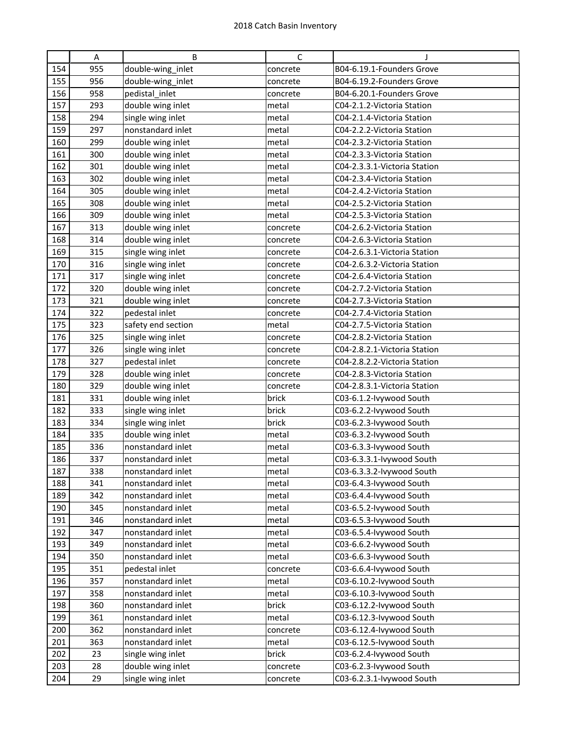|     | Α   | B                  | С        | J                            |
|-----|-----|--------------------|----------|------------------------------|
| 154 | 955 | double-wing_inlet  | concrete | B04-6.19.1-Founders Grove    |
| 155 | 956 | double-wing_inlet  | concrete | B04-6.19.2-Founders Grove    |
| 156 | 958 | pedistal_inlet     | concrete | B04-6.20.1-Founders Grove    |
| 157 | 293 | double wing inlet  | metal    | C04-2.1.2-Victoria Station   |
| 158 | 294 | single wing inlet  | metal    | C04-2.1.4-Victoria Station   |
| 159 | 297 | nonstandard inlet  | metal    | C04-2.2.2-Victoria Station   |
| 160 | 299 | double wing inlet  | metal    | C04-2.3.2-Victoria Station   |
| 161 | 300 | double wing inlet  | metal    | C04-2.3.3-Victoria Station   |
| 162 | 301 | double wing inlet  | metal    | C04-2.3.3.1-Victoria Station |
| 163 | 302 | double wing inlet  | metal    | C04-2.3.4-Victoria Station   |
| 164 | 305 | double wing inlet  | metal    | C04-2.4.2-Victoria Station   |
| 165 | 308 | double wing inlet  | metal    | C04-2.5.2-Victoria Station   |
| 166 | 309 | double wing inlet  | metal    | C04-2.5.3-Victoria Station   |
| 167 | 313 | double wing inlet  | concrete | C04-2.6.2-Victoria Station   |
| 168 | 314 | double wing inlet  | concrete | C04-2.6.3-Victoria Station   |
| 169 | 315 | single wing inlet  | concrete | C04-2.6.3.1-Victoria Station |
| 170 | 316 | single wing inlet  | concrete | C04-2.6.3.2-Victoria Station |
| 171 | 317 | single wing inlet  | concrete | C04-2.6.4-Victoria Station   |
| 172 | 320 | double wing inlet  | concrete | C04-2.7.2-Victoria Station   |
| 173 | 321 | double wing inlet  | concrete | C04-2.7.3-Victoria Station   |
| 174 | 322 | pedestal inlet     | concrete | C04-2.7.4-Victoria Station   |
| 175 | 323 | safety end section | metal    | C04-2.7.5-Victoria Station   |
| 176 | 325 | single wing inlet  | concrete | C04-2.8.2-Victoria Station   |
| 177 | 326 | single wing inlet  | concrete | C04-2.8.2.1-Victoria Station |
| 178 | 327 | pedestal inlet     | concrete | C04-2.8.2.2-Victoria Station |
| 179 | 328 | double wing inlet  | concrete | C04-2.8.3-Victoria Station   |
| 180 | 329 | double wing inlet  | concrete | C04-2.8.3.1-Victoria Station |
| 181 | 331 | double wing inlet  | brick    | C03-6.1.2-Ivywood South      |
| 182 | 333 | single wing inlet  | brick    | C03-6.2.2-lvywood South      |
| 183 | 334 | single wing inlet  | brick    | C03-6.2.3-lvywood South      |
| 184 | 335 | double wing inlet  | metal    | C03-6.3.2-lvywood South      |
| 185 | 336 | nonstandard inlet  | metal    | C03-6.3.3-lvywood South      |
| 186 | 337 | nonstandard inlet  | metal    | C03-6.3.3.1-lvywood South    |
| 187 | 338 | nonstandard inlet  | metal    | C03-6.3.3.2-Ivywood South    |
| 188 | 341 | nonstandard inlet  | metal    | C03-6.4.3-Ivywood South      |
| 189 | 342 | nonstandard inlet  | metal    | C03-6.4.4-Ivywood South      |
| 190 | 345 | nonstandard inlet  | metal    | C03-6.5.2-lvywood South      |
| 191 | 346 | nonstandard inlet  | metal    | C03-6.5.3-lvywood South      |
| 192 | 347 | nonstandard inlet  | metal    | C03-6.5.4-Ivywood South      |
| 193 | 349 | nonstandard inlet  | metal    | C03-6.6.2-Ivywood South      |
| 194 | 350 | nonstandard inlet  | metal    | C03-6.6.3-lvywood South      |
| 195 | 351 | pedestal inlet     | concrete | C03-6.6.4-Ivywood South      |
| 196 | 357 | nonstandard inlet  | metal    | C03-6.10.2-lvywood South     |
| 197 | 358 | nonstandard inlet  | metal    | C03-6.10.3-lvywood South     |
| 198 | 360 | nonstandard inlet  | brick    | C03-6.12.2-lvywood South     |
| 199 | 361 | nonstandard inlet  | metal    | C03-6.12.3-lvywood South     |
| 200 | 362 | nonstandard inlet  | concrete | C03-6.12.4-lvywood South     |
| 201 | 363 | nonstandard inlet  | metal    | C03-6.12.5-lvywood South     |
| 202 | 23  | single wing inlet  | brick    | C03-6.2.4-Ivywood South      |
| 203 | 28  | double wing inlet  | concrete | C03-6.2.3-lvywood South      |
| 204 | 29  | single wing inlet  | concrete | C03-6.2.3.1-Ivywood South    |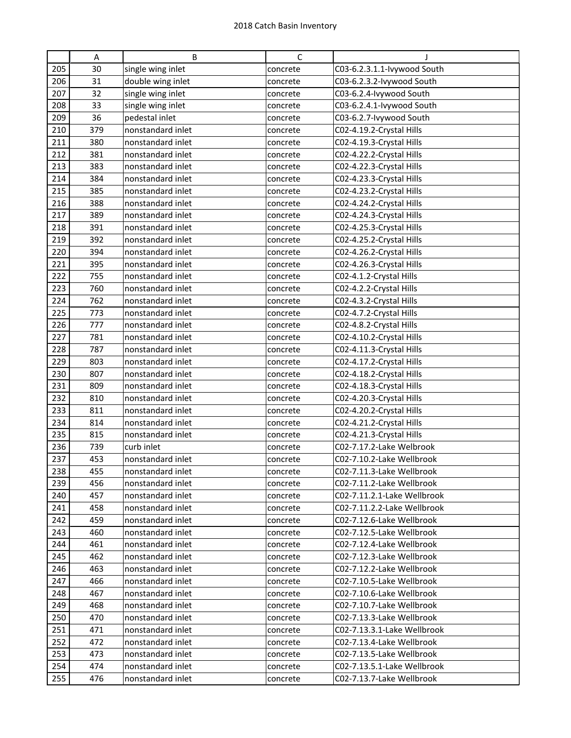|            | Α          | B                                      | С                    | J                                                      |
|------------|------------|----------------------------------------|----------------------|--------------------------------------------------------|
| 205        | 30         | single wing inlet                      | concrete             | C03-6.2.3.1.1-lvywood South                            |
| 206        | 31         | double wing inlet                      | concrete             | C03-6.2.3.2-lvywood South                              |
| 207        | 32         | single wing inlet                      | concrete             | C03-6.2.4-Ivywood South                                |
| 208        | 33         | single wing inlet                      | concrete             | C03-6.2.4.1-Ivywood South                              |
| 209        | 36         | pedestal inlet                         | concrete             | C03-6.2.7-Ivywood South                                |
| 210        | 379        | nonstandard inlet                      | concrete             | C02-4.19.2-Crystal Hills                               |
| 211        | 380        | nonstandard inlet                      | concrete             | C02-4.19.3-Crystal Hills                               |
| 212        | 381        | nonstandard inlet                      | concrete             | C02-4.22.2-Crystal Hills                               |
| 213        | 383        | nonstandard inlet                      | concrete             | C02-4.22.3-Crystal Hills                               |
| 214        | 384        | nonstandard inlet                      | concrete             | C02-4.23.3-Crystal Hills                               |
| 215        | 385        | nonstandard inlet                      | concrete             | C02-4.23.2-Crystal Hills                               |
| 216        | 388        | nonstandard inlet                      | concrete             | C02-4.24.2-Crystal Hills                               |
| 217        | 389        | nonstandard inlet                      | concrete             | C02-4.24.3-Crystal Hills                               |
| 218        | 391        | nonstandard inlet                      | concrete             | C02-4.25.3-Crystal Hills                               |
| 219        | 392        | nonstandard inlet                      | concrete             | C02-4.25.2-Crystal Hills                               |
| 220        | 394        | nonstandard inlet                      | concrete             | C02-4.26.2-Crystal Hills                               |
| 221        | 395        | nonstandard inlet                      | concrete             | C02-4.26.3-Crystal Hills                               |
| 222        | 755        | nonstandard inlet                      | concrete             | C02-4.1.2-Crystal Hills                                |
| 223        | 760        | nonstandard inlet                      | concrete             | C02-4.2.2-Crystal Hills                                |
| 224        | 762        | nonstandard inlet                      | concrete             | C02-4.3.2-Crystal Hills                                |
| 225        | 773        | nonstandard inlet                      | concrete             | C02-4.7.2-Crystal Hills                                |
| 226        | 777        | nonstandard inlet                      | concrete             | C02-4.8.2-Crystal Hills                                |
| 227        | 781        | nonstandard inlet                      | concrete             | C02-4.10.2-Crystal Hills                               |
| 228        | 787        | nonstandard inlet                      | concrete             | C02-4.11.3-Crystal Hills                               |
| 229        | 803        | nonstandard inlet                      | concrete             | C02-4.17.2-Crystal Hills                               |
| 230        | 807        | nonstandard inlet                      | concrete             | C02-4.18.2-Crystal Hills                               |
| 231        | 809        | nonstandard inlet                      | concrete             | C02-4.18.3-Crystal Hills                               |
| 232        | 810        | nonstandard inlet                      | concrete             | C02-4.20.3-Crystal Hills                               |
| 233        | 811        | nonstandard inlet                      | concrete             | C02-4.20.2-Crystal Hills                               |
| 234        | 814        | nonstandard inlet                      | concrete             | C02-4.21.2-Crystal Hills                               |
| 235        | 815        | nonstandard inlet                      | concrete             | C02-4.21.3-Crystal Hills                               |
| 236        | 739        | curb inlet                             | concrete             | C02-7.17.2-Lake Welbrook                               |
| 237        | 453        | nonstandard inlet                      | concrete             | C02-7.10.2-Lake Wellbrook                              |
| 238        | 455        | nonstandard inlet                      | concrete             | C02-7.11.3-Lake Wellbrook                              |
| 239        | 456        | nonstandard inlet                      | concrete             | C02-7.11.2-Lake Wellbrook                              |
| 240        | 457        | nonstandard inlet                      | concrete             | C02-7.11.2.1-Lake Wellbrook                            |
| 241        | 458        | nonstandard inlet                      | concrete             | C02-7.11.2.2-Lake Wellbrook                            |
| 242        | 459        | nonstandard inlet                      | concrete             | C02-7.12.6-Lake Wellbrook                              |
| 243        | 460        | nonstandard inlet                      | concrete             | C02-7.12.5-Lake Wellbrook                              |
| 244        | 461        | nonstandard inlet                      | concrete             | C02-7.12.4-Lake Wellbrook                              |
| 245        | 462        | nonstandard inlet                      | concrete             | C02-7.12.3-Lake Wellbrook                              |
| 246        | 463        | nonstandard inlet                      | concrete             | C02-7.12.2-Lake Wellbrook                              |
| 247        | 466        | nonstandard inlet                      | concrete             | C02-7.10.5-Lake Wellbrook                              |
| 248        | 467        | nonstandard inlet                      | concrete             | C02-7.10.6-Lake Wellbrook                              |
| 249        | 468        | nonstandard inlet                      | concrete             | C02-7.10.7-Lake Wellbrook                              |
| 250        | 470        | nonstandard inlet                      | concrete             | C02-7.13.3-Lake Wellbrook                              |
| 251<br>252 | 471        | nonstandard inlet                      | concrete             | C02-7.13.3.1-Lake Wellbrook                            |
| 253        | 472<br>473 | nonstandard inlet<br>nonstandard inlet | concrete             | C02-7.13.4-Lake Wellbrook<br>C02-7.13.5-Lake Wellbrook |
| 254        | 474        | nonstandard inlet                      | concrete<br>concrete | C02-7.13.5.1-Lake Wellbrook                            |
| 255        | 476        | nonstandard inlet                      |                      | C02-7.13.7-Lake Wellbrook                              |
|            |            |                                        | concrete             |                                                        |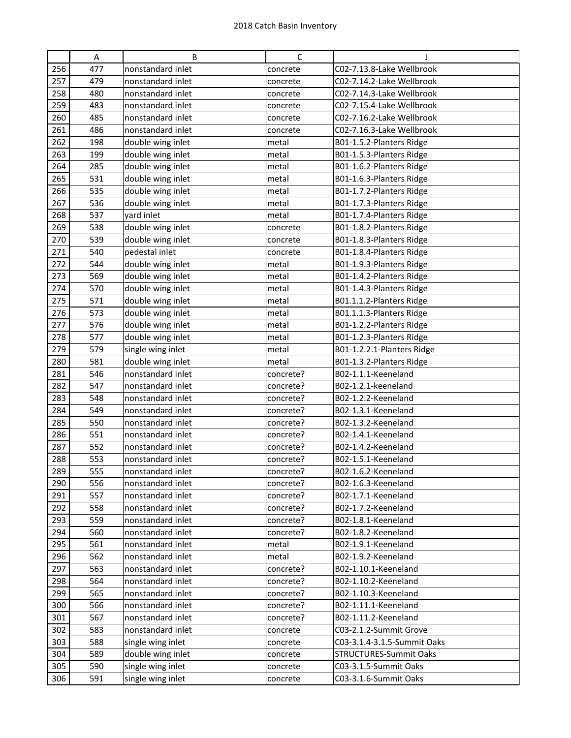|     | A   | B                 | С         | J                           |
|-----|-----|-------------------|-----------|-----------------------------|
| 256 | 477 | nonstandard inlet | concrete  | C02-7.13.8-Lake Wellbrook   |
| 257 | 479 | nonstandard inlet | concrete  | C02-7.14.2-Lake Wellbrook   |
| 258 | 480 | nonstandard inlet | concrete  | C02-7.14.3-Lake Wellbrook   |
| 259 | 483 | nonstandard inlet | concrete  | C02-7.15.4-Lake Wellbrook   |
| 260 | 485 | nonstandard inlet | concrete  | C02-7.16.2-Lake Wellbrook   |
| 261 | 486 | nonstandard inlet | concrete  | C02-7.16.3-Lake Wellbrook   |
| 262 | 198 | double wing inlet | metal     | B01-1.5.2-Planters Ridge    |
| 263 | 199 | double wing inlet | metal     | B01-1.5.3-Planters Ridge    |
| 264 | 285 | double wing inlet | metal     | B01-1.6.2-Planters Ridge    |
| 265 | 531 | double wing inlet | metal     | B01-1.6.3-Planters Ridge    |
| 266 | 535 | double wing inlet | metal     | B01-1.7.2-Planters Ridge    |
| 267 | 536 | double wing inlet | metal     | B01-1.7.3-Planters Ridge    |
| 268 | 537 | yard inlet        | metal     | B01-1.7.4-Planters Ridge    |
| 269 | 538 | double wing inlet | concrete  | B01-1.8.2-Planters Ridge    |
| 270 | 539 | double wing inlet | concrete  | B01-1.8.3-Planters Ridge    |
| 271 | 540 | pedestal inlet    | concrete  | B01-1.8.4-Planters Ridge    |
| 272 | 544 | double wing inlet | metal     | B01-1.9.3-Planters Ridge    |
| 273 | 569 | double wing inlet | metal     | B01-1.4.2-Planters Ridge    |
| 274 | 570 | double wing inlet | metal     | B01-1.4.3-Planters Ridge    |
| 275 | 571 | double wing inlet | metal     | B01.1.1.2-Planters Ridge    |
| 276 | 573 | double wing inlet | metal     | B01.1.1.3-Planters Ridge    |
| 277 | 576 | double wing inlet | metal     | B01-1.2.2-Planters Ridge    |
| 278 | 577 | double wing inlet | metal     | B01-1.2.3-Planters Ridge    |
| 279 | 579 | single wing inlet | metal     | B01-1.2.2.1-Planters Ridge  |
| 280 | 581 | double wing inlet | metal     | B01-1.3.2-Planters Ridge    |
| 281 | 546 | nonstandard inlet | concrete? | B02-1.1.1-Keeneland         |
| 282 | 547 | nonstandard inlet | concrete? | B02-1.2.1-keeneland         |
| 283 | 548 | nonstandard inlet | concrete? | B02-1.2.2-Keeneland         |
| 284 | 549 | nonstandard inlet | concrete? | B02-1.3.1-Keeneland         |
| 285 | 550 | nonstandard inlet | concrete? | B02-1.3.2-Keeneland         |
| 286 | 551 | nonstandard inlet | concrete? | B02-1.4.1-Keeneland         |
| 287 | 552 | nonstandard inlet | concrete? | B02-1.4.2-Keeneland         |
| 288 | 553 | nonstandard inlet | concrete? | B02-1.5.1-Keeneland         |
| 289 | 555 | nonstandard inlet | concrete? | B02-1.6.2-Keeneland         |
| 290 | 556 | nonstandard inlet | concrete? | B02-1.6.3-Keeneland         |
| 291 | 557 | nonstandard inlet | concrete? | B02-1.7.1-Keeneland         |
| 292 | 558 | nonstandard inlet | concrete? | B02-1.7.2-Keeneland         |
| 293 | 559 | nonstandard inlet | concrete? | B02-1.8.1-Keeneland         |
| 294 | 560 | nonstandard inlet | concrete? | B02-1.8.2-Keeneland         |
| 295 | 561 | nonstandard inlet | metal     | B02-1.9.1-Keeneland         |
| 296 | 562 | nonstandard inlet | metal     | B02-1.9.2-Keeneland         |
| 297 | 563 | nonstandard inlet | concrete? | B02-1.10.1-Keeneland        |
| 298 | 564 | nonstandard inlet | concrete? | B02-1.10.2-Keeneland        |
| 299 | 565 | nonstandard inlet | concrete? | B02-1.10.3-Keeneland        |
| 300 | 566 | nonstandard inlet | concrete? | B02-1.11.1-Keeneland        |
| 301 | 567 | nonstandard inlet | concrete? | B02-1.11.2-Keeneland        |
| 302 | 583 | nonstandard inlet | concrete  | C03-2.1.2-Summit Grove      |
| 303 | 588 | single wing inlet | concrete  | C03-3.1.4-3.1.5-Summit Oaks |
| 304 | 589 | double wing inlet | concrete  | STRUCTURES-Summit Oaks      |
| 305 | 590 | single wing inlet | concrete  | C03-3.1.5-Summit Oaks       |
| 306 | 591 | single wing inlet | concrete  | C03-3.1.6-Summit Oaks       |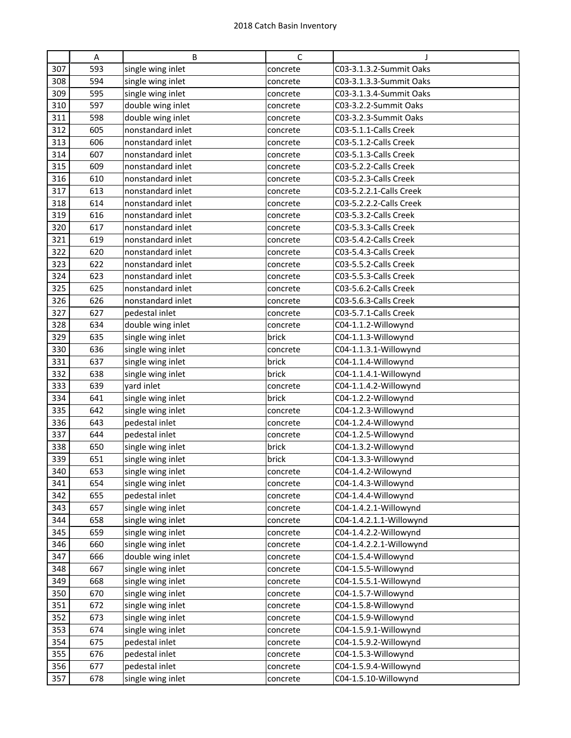|     | A   | B                 | C        |                         |
|-----|-----|-------------------|----------|-------------------------|
| 307 | 593 | single wing inlet | concrete | C03-3.1.3.2-Summit Oaks |
| 308 | 594 | single wing inlet | concrete | C03-3.1.3.3-Summit Oaks |
| 309 | 595 | single wing inlet | concrete | C03-3.1.3.4-Summit Oaks |
| 310 | 597 | double wing inlet | concrete | C03-3.2.2-Summit Oaks   |
| 311 | 598 | double wing inlet | concrete | C03-3.2.3-Summit Oaks   |
| 312 | 605 | nonstandard inlet | concrete | C03-5.1.1-Calls Creek   |
| 313 | 606 | nonstandard inlet | concrete | C03-5.1.2-Calls Creek   |
| 314 | 607 | nonstandard inlet | concrete | C03-5.1.3-Calls Creek   |
| 315 | 609 | nonstandard inlet | concrete | C03-5.2.2-Calls Creek   |
| 316 | 610 | nonstandard inlet | concrete | C03-5.2.3-Calls Creek   |
| 317 | 613 | nonstandard inlet | concrete | C03-5.2.2.1-Calls Creek |
| 318 | 614 | nonstandard inlet | concrete | C03-5.2.2.2-Calls Creek |
| 319 | 616 | nonstandard inlet | concrete | C03-5.3.2-Calls Creek   |
| 320 | 617 | nonstandard inlet | concrete | C03-5.3.3-Calls Creek   |
| 321 | 619 | nonstandard inlet | concrete | C03-5.4.2-Calls Creek   |
| 322 | 620 | nonstandard inlet | concrete | C03-5.4.3-Calls Creek   |
| 323 | 622 | nonstandard inlet | concrete | C03-5.5.2-Calls Creek   |
| 324 | 623 | nonstandard inlet | concrete | C03-5.5.3-Calls Creek   |
| 325 | 625 | nonstandard inlet | concrete | C03-5.6.2-Calls Creek   |
| 326 | 626 | nonstandard inlet | concrete | C03-5.6.3-Calls Creek   |
| 327 | 627 | pedestal inlet    | concrete | C03-5.7.1-Calls Creek   |
| 328 | 634 | double wing inlet | concrete | C04-1.1.2-Willowynd     |
| 329 | 635 | single wing inlet | brick    | C04-1.1.3-Willowynd     |
| 330 | 636 | single wing inlet | concrete | C04-1.1.3.1-Willowynd   |
| 331 | 637 | single wing inlet | brick    | C04-1.1.4-Willowynd     |
| 332 | 638 | single wing inlet | brick    | C04-1.1.4.1-Willowynd   |
| 333 | 639 | yard inlet        | concrete | C04-1.1.4.2-Willowynd   |
| 334 | 641 | single wing inlet | brick    | C04-1.2.2-Willowynd     |
| 335 | 642 | single wing inlet | concrete | C04-1.2.3-Willowynd     |
| 336 | 643 | pedestal inlet    | concrete | C04-1.2.4-Willowynd     |
| 337 | 644 | pedestal inlet    | concrete | C04-1.2.5-Willowynd     |
| 338 | 650 | single wing inlet | brick    | C04-1.3.2-Willowynd     |
| 339 | 651 | single wing inlet | brick    | C04-1.3.3-Willowynd     |
| 340 | 653 | single wing inlet | concrete | C04-1.4.2-Wilowynd      |
| 341 | 654 | single wing inlet | concrete | C04-1.4.3-Willowynd     |
| 342 | 655 | pedestal inlet    | concrete | C04-1.4.4-Willowynd     |
| 343 | 657 | single wing inlet | concrete | C04-1.4.2.1-Willowynd   |
| 344 | 658 | single wing inlet | concrete | C04-1.4.2.1.1-Willowynd |
| 345 | 659 | single wing inlet | concrete | C04-1.4.2.2-Willowynd   |
| 346 | 660 | single wing inlet | concrete | C04-1.4.2.2.1-Willowynd |
| 347 | 666 | double wing inlet | concrete | C04-1.5.4-Willowynd     |
| 348 | 667 | single wing inlet | concrete | C04-1.5.5-Willowynd     |
| 349 | 668 | single wing inlet | concrete | C04-1.5.5.1-Willowynd   |
| 350 | 670 | single wing inlet | concrete | C04-1.5.7-Willowynd     |
| 351 | 672 | single wing inlet | concrete | C04-1.5.8-Willowynd     |
| 352 | 673 | single wing inlet | concrete | C04-1.5.9-Willowynd     |
| 353 | 674 | single wing inlet | concrete | C04-1.5.9.1-Willowynd   |
| 354 | 675 | pedestal inlet    | concrete | C04-1.5.9.2-Willowynd   |
| 355 | 676 | pedestal inlet    | concrete | C04-1.5.3-Willowynd     |
| 356 | 677 | pedestal inlet    | concrete | C04-1.5.9.4-Willowynd   |
| 357 | 678 | single wing inlet | concrete | C04-1.5.10-Willowynd    |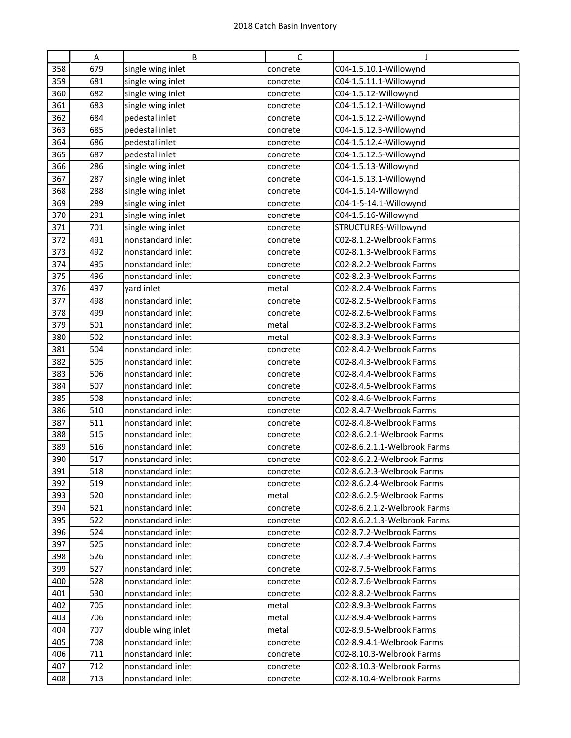|     | A   | B                 | С        | J                            |
|-----|-----|-------------------|----------|------------------------------|
| 358 | 679 | single wing inlet | concrete | C04-1.5.10.1-Willowynd       |
| 359 | 681 | single wing inlet | concrete | C04-1.5.11.1-Willowynd       |
| 360 | 682 | single wing inlet | concrete | C04-1.5.12-Willowynd         |
| 361 | 683 | single wing inlet | concrete | C04-1.5.12.1-Willowynd       |
| 362 | 684 | pedestal inlet    | concrete | C04-1.5.12.2-Willowynd       |
| 363 | 685 | pedestal inlet    | concrete | C04-1.5.12.3-Willowynd       |
| 364 | 686 | pedestal inlet    | concrete | C04-1.5.12.4-Willowynd       |
| 365 | 687 | pedestal inlet    | concrete | C04-1.5.12.5-Willowynd       |
| 366 | 286 | single wing inlet | concrete | C04-1.5.13-Willowynd         |
| 367 | 287 | single wing inlet | concrete | C04-1.5.13.1-Willowynd       |
| 368 | 288 | single wing inlet | concrete | C04-1.5.14-Willowynd         |
| 369 | 289 | single wing inlet | concrete | C04-1-5-14.1-Willowynd       |
| 370 | 291 | single wing inlet | concrete | C04-1.5.16-Willowynd         |
| 371 | 701 | single wing inlet | concrete | STRUCTURES-Willowynd         |
| 372 | 491 | nonstandard inlet | concrete | C02-8.1.2-Welbrook Farms     |
| 373 | 492 | nonstandard inlet | concrete | C02-8.1.3-Welbrook Farms     |
| 374 | 495 | nonstandard inlet | concrete | C02-8.2.2-Welbrook Farms     |
| 375 | 496 | nonstandard inlet | concrete | C02-8.2.3-Welbrook Farms     |
| 376 | 497 | yard inlet        | metal    | C02-8.2.4-Welbrook Farms     |
| 377 | 498 | nonstandard inlet | concrete | C02-8.2.5-Welbrook Farms     |
| 378 | 499 | nonstandard inlet | concrete | C02-8.2.6-Welbrook Farms     |
| 379 | 501 | nonstandard inlet | metal    | C02-8.3.2-Welbrook Farms     |
| 380 | 502 | nonstandard inlet | metal    | C02-8.3.3-Welbrook Farms     |
| 381 | 504 | nonstandard inlet | concrete | C02-8.4.2-Welbrook Farms     |
| 382 | 505 | nonstandard inlet | concrete | C02-8.4.3-Welbrook Farms     |
| 383 | 506 | nonstandard inlet | concrete | C02-8.4.4-Welbrook Farms     |
| 384 | 507 | nonstandard inlet | concrete | C02-8.4.5-Welbrook Farms     |
| 385 | 508 | nonstandard inlet | concrete | C02-8.4.6-Welbrook Farms     |
| 386 | 510 | nonstandard inlet | concrete | C02-8.4.7-Welbrook Farms     |
| 387 | 511 | nonstandard inlet | concrete | C02-8.4.8-Welbrook Farms     |
| 388 | 515 | nonstandard inlet | concrete | C02-8.6.2.1-Welbrook Farms   |
| 389 | 516 | nonstandard inlet | concrete | C02-8.6.2.1.1-Welbrook Farms |
| 390 | 517 | nonstandard inlet | concrete | C02-8.6.2.2-Welbrook Farms   |
| 391 | 518 | nonstandard inlet | concrete | C02-8.6.2.3-Welbrook Farms   |
| 392 | 519 | nonstandard inlet | concrete | C02-8.6.2.4-Welbrook Farms   |
| 393 | 520 | nonstandard inlet | metal    | C02-8.6.2.5-Welbrook Farms   |
| 394 | 521 | nonstandard inlet | concrete | C02-8.6.2.1.2-Welbrook Farms |
| 395 | 522 | nonstandard inlet | concrete | C02-8.6.2.1.3-Welbrook Farms |
| 396 | 524 | nonstandard inlet | concrete | C02-8.7.2-Welbrook Farms     |
| 397 | 525 | nonstandard inlet | concrete | C02-8.7.4-Welbrook Farms     |
| 398 | 526 | nonstandard inlet | concrete | C02-8.7.3-Welbrook Farms     |
| 399 | 527 | nonstandard inlet | concrete | C02-8.7.5-Welbrook Farms     |
| 400 | 528 | nonstandard inlet | concrete | C02-8.7.6-Welbrook Farms     |
| 401 | 530 | nonstandard inlet | concrete | C02-8.8.2-Welbrook Farms     |
| 402 | 705 | nonstandard inlet | metal    | C02-8.9.3-Welbrook Farms     |
| 403 | 706 | nonstandard inlet | metal    | C02-8.9.4-Welbrook Farms     |
| 404 | 707 | double wing inlet | metal    | C02-8.9.5-Welbrook Farms     |
| 405 | 708 | nonstandard inlet | concrete | C02-8.9.4.1-Welbrook Farms   |
| 406 | 711 | nonstandard inlet | concrete | C02-8.10.3-Welbrook Farms    |
| 407 | 712 | nonstandard inlet | concrete | C02-8.10.3-Welbrook Farms    |
| 408 | 713 | nonstandard inlet | concrete | C02-8.10.4-Welbrook Farms    |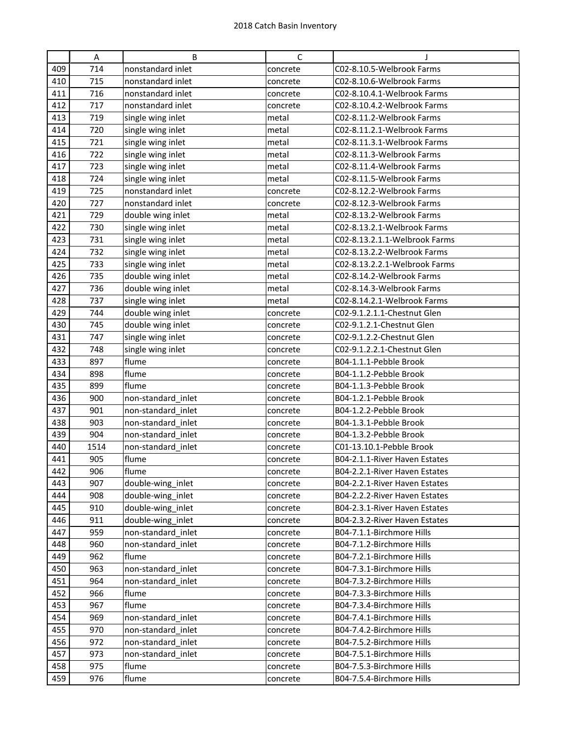|     | A    | B                  | $\mathsf{C}$ | J                             |
|-----|------|--------------------|--------------|-------------------------------|
| 409 | 714  | nonstandard inlet  | concrete     | C02-8.10.5-Welbrook Farms     |
| 410 | 715  | nonstandard inlet  | concrete     | C02-8.10.6-Welbrook Farms     |
| 411 | 716  | nonstandard inlet  | concrete     | C02-8.10.4.1-Welbrook Farms   |
| 412 | 717  | nonstandard inlet  | concrete     | C02-8.10.4.2-Welbrook Farms   |
| 413 | 719  | single wing inlet  | metal        | C02-8.11.2-Welbrook Farms     |
| 414 | 720  | single wing inlet  | metal        | C02-8.11.2.1-Welbrook Farms   |
| 415 | 721  | single wing inlet  | metal        | C02-8.11.3.1-Welbrook Farms   |
| 416 | 722  | single wing inlet  | metal        | C02-8.11.3-Welbrook Farms     |
| 417 | 723  | single wing inlet  | metal        | C02-8.11.4-Welbrook Farms     |
| 418 | 724  | single wing inlet  | metal        | C02-8.11.5-Welbrook Farms     |
| 419 | 725  | nonstandard inlet  | concrete     | C02-8.12.2-Welbrook Farms     |
| 420 | 727  | nonstandard inlet  | concrete     | C02-8.12.3-Welbrook Farms     |
| 421 | 729  | double wing inlet  | metal        | C02-8.13.2-Welbrook Farms     |
| 422 | 730  | single wing inlet  | metal        | C02-8.13.2.1-Welbrook Farms   |
| 423 | 731  | single wing inlet  | metal        | C02-8.13.2.1.1-Welbrook Farms |
| 424 | 732  | single wing inlet  | metal        | C02-8.13.2.2-Welbrook Farms   |
| 425 | 733  | single wing inlet  | metal        | C02-8.13.2.2.1-Welbrook Farms |
| 426 | 735  | double wing inlet  | metal        | C02-8.14.2-Welbrook Farms     |
| 427 | 736  | double wing inlet  | metal        | C02-8.14.3-Welbrook Farms     |
| 428 | 737  | single wing inlet  | metal        | C02-8.14.2.1-Welbrook Farms   |
| 429 | 744  | double wing inlet  | concrete     | C02-9.1.2.1.1-Chestnut Glen   |
| 430 | 745  | double wing inlet  | concrete     | C02-9.1.2.1-Chestnut Glen     |
| 431 | 747  | single wing inlet  | concrete     | C02-9.1.2.2-Chestnut Glen     |
| 432 | 748  | single wing inlet  | concrete     | C02-9.1.2.2.1-Chestnut Glen   |
| 433 | 897  | flume              | concrete     | B04-1.1.1-Pebble Brook        |
| 434 | 898  | flume              | concrete     | B04-1.1.2-Pebble Brook        |
| 435 | 899  | flume              | concrete     | B04-1.1.3-Pebble Brook        |
| 436 | 900  | non-standard_inlet | concrete     | B04-1.2.1-Pebble Brook        |
| 437 | 901  | non-standard inlet | concrete     | B04-1.2.2-Pebble Brook        |
| 438 | 903  | non-standard inlet | concrete     | B04-1.3.1-Pebble Brook        |
| 439 | 904  | non-standard_inlet | concrete     | B04-1.3.2-Pebble Brook        |
| 440 | 1514 | non-standard inlet | concrete     | C01-13.10.1-Pebble Brook      |
| 441 | 905  | flume              | concrete     | B04-2.1.1-River Haven Estates |
| 442 | 906  | flume              | concrete     | B04-2.2.1-River Haven Estates |
| 443 | 907  | double-wing_inlet  | concrete     | B04-2.2.1-River Haven Estates |
| 444 | 908  | double-wing_inlet  | concrete     | B04-2.2.2-River Haven Estates |
| 445 | 910  | double-wing_inlet  | concrete     | B04-2.3.1-River Haven Estates |
| 446 | 911  | double-wing_inlet  | concrete     | B04-2.3.2-River Haven Estates |
| 447 | 959  | non-standard_inlet | concrete     | B04-7.1.1-Birchmore Hills     |
| 448 | 960  | non-standard inlet | concrete     | B04-7.1.2-Birchmore Hills     |
| 449 | 962  | flume              | concrete     | B04-7.2.1-Birchmore Hills     |
| 450 | 963  | non-standard_inlet | concrete     | B04-7.3.1-Birchmore Hills     |
| 451 | 964  | non-standard inlet | concrete     | B04-7.3.2-Birchmore Hills     |
| 452 | 966  | flume              | concrete     | B04-7.3.3-Birchmore Hills     |
| 453 | 967  | flume              | concrete     | B04-7.3.4-Birchmore Hills     |
| 454 | 969  | non-standard inlet | concrete     | B04-7.4.1-Birchmore Hills     |
| 455 | 970  | non-standard inlet | concrete     | B04-7.4.2-Birchmore Hills     |
| 456 | 972  | non-standard_inlet | concrete     | B04-7.5.2-Birchmore Hills     |
| 457 | 973  | non-standard inlet | concrete     | B04-7.5.1-Birchmore Hills     |
| 458 | 975  | flume              | concrete     | B04-7.5.3-Birchmore Hills     |
| 459 | 976  | flume              | concrete     | B04-7.5.4-Birchmore Hills     |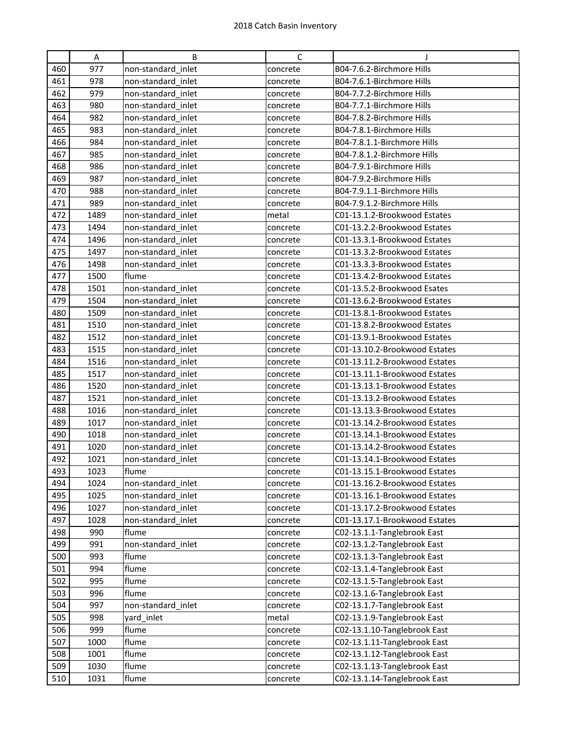|     | Α    | B                  | C        | T                             |
|-----|------|--------------------|----------|-------------------------------|
| 460 | 977  | non-standard_inlet | concrete | B04-7.6.2-Birchmore Hills     |
| 461 | 978  | non-standard inlet | concrete | B04-7.6.1-Birchmore Hills     |
| 462 | 979  | non-standard inlet | concrete | B04-7.7.2-Birchmore Hills     |
| 463 | 980  | non-standard inlet | concrete | B04-7.7.1-Birchmore Hills     |
| 464 | 982  | non-standard inlet | concrete | B04-7.8.2-Birchmore Hills     |
| 465 | 983  | non-standard inlet | concrete | B04-7.8.1-Birchmore Hills     |
| 466 | 984  | non-standard inlet | concrete | B04-7.8.1.1-Birchmore Hills   |
| 467 | 985  | non-standard inlet | concrete | B04-7.8.1.2-Birchmore Hills   |
| 468 | 986  | non-standard_inlet | concrete | B04-7.9.1-Birchmore Hills     |
| 469 | 987  | non-standard inlet | concrete | B04-7.9.2-Birchmore Hills     |
| 470 | 988  | non-standard inlet | concrete | B04-7.9.1.1-Birchmore Hills   |
| 471 | 989  | non-standard inlet | concrete | B04-7.9.1.2-Birchmore Hills   |
| 472 | 1489 | non-standard inlet | metal    | C01-13.1.2-Brookwood Estates  |
| 473 | 1494 | non-standard inlet | concrete | C01-13.2.2-Brookwood Estates  |
| 474 | 1496 | non-standard inlet | concrete | C01-13.3.1-Brookwood Estates  |
| 475 | 1497 | non-standard inlet | concrete | C01-13.3.2-Brookwood Estates  |
| 476 | 1498 | non-standard inlet | concrete | C01-13.3.3-Brookwood Estates  |
| 477 | 1500 | flume              | concrete | C01-13.4.2-Brookwood Estates  |
| 478 | 1501 | non-standard_inlet | concrete | C01-13.5.2-Brookwood Esates   |
| 479 | 1504 | non-standard inlet | concrete | C01-13.6.2-Brookwood Estates  |
| 480 | 1509 | non-standard inlet | concrete | C01-13.8.1-Brookwood Estates  |
| 481 | 1510 | non-standard_inlet | concrete | C01-13.8.2-Brookwood Estates  |
| 482 | 1512 | non-standard inlet | concrete | C01-13.9.1-Brookwood Estates  |
| 483 | 1515 | non-standard inlet | concrete | C01-13.10.2-Brookwood Estates |
| 484 | 1516 | non-standard inlet | concrete | C01-13.11.2-Brookwood Estates |
| 485 | 1517 | non-standard_inlet | concrete | C01-13.11.1-Brookwood Estates |
| 486 | 1520 | non-standard_inlet | concrete | C01-13.13.1-Brookwood Estates |
| 487 | 1521 | non-standard_inlet | concrete | C01-13.13.2-Brookwood Estates |
| 488 | 1016 | non-standard inlet | concrete | C01-13.13.3-Brookwood Estates |
| 489 | 1017 | non-standard inlet | concrete | C01-13.14.2-Brookwood Estates |
| 490 | 1018 | non-standard inlet | concrete | C01-13.14.1-Brookwood Estates |
| 491 | 1020 | non-standard inlet | concrete | C01-13.14.2-Brookwood Estates |
| 492 | 1021 | non-standard inlet | concrete | C01-13.14.1-Brookwood Estates |
| 493 | 1023 | flume              | concrete | C01-13.15.1-Brookwood Estates |
| 494 | 1024 | non-standard_inlet | concrete | C01-13.16.2-Brookwood Estates |
| 495 | 1025 | non-standard inlet | concrete | C01-13.16.1-Brookwood Estates |
| 496 | 1027 | non-standard_inlet | concrete | C01-13.17.2-Brookwood Estates |
| 497 | 1028 | non-standard_inlet | concrete | C01-13.17.1-Brookwood Estates |
| 498 | 990  | flume              | concrete | C02-13.1.1-Tanglebrook East   |
| 499 | 991  | non-standard inlet | concrete | C02-13.1.2-Tanglebrook East   |
| 500 | 993  | flume              | concrete | C02-13.1.3-Tanglebrook East   |
| 501 | 994  | flume              | concrete | C02-13.1.4-Tanglebrook East   |
| 502 | 995  | flume              | concrete | C02-13.1.5-Tanglebrook East   |
| 503 | 996  | flume              | concrete | C02-13.1.6-Tanglebrook East   |
| 504 | 997  | non-standard_inlet | concrete | C02-13.1.7-Tanglebrook East   |
| 505 | 998  | yard_inlet         | metal    | C02-13.1.9-Tanglebrook East   |
| 506 | 999  | flume              | concrete | C02-13.1.10-Tanglebrook East  |
| 507 | 1000 | flume              | concrete | C02-13.1.11-Tanglebrook East  |
| 508 | 1001 | flume              | concrete | C02-13.1.12-Tanglebrook East  |
| 509 | 1030 | flume              | concrete | C02-13.1.13-Tanglebrook East  |
| 510 | 1031 | flume              | concrete | C02-13.1.14-Tanglebrook East  |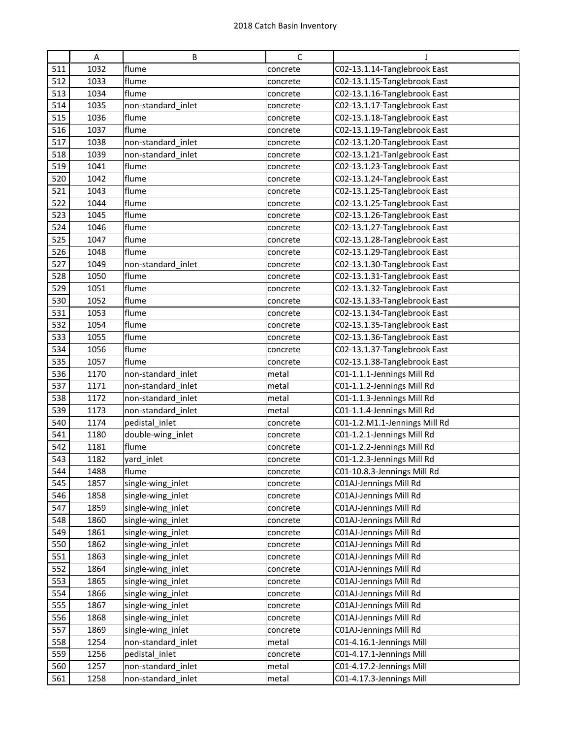|     | $\mathsf A$ | B                  | $\mathsf C$ | J                             |
|-----|-------------|--------------------|-------------|-------------------------------|
| 511 | 1032        | flume              | concrete    | C02-13.1.14-Tanglebrook East  |
| 512 | 1033        | flume              | concrete    | C02-13.1.15-Tanglebrook East  |
| 513 | 1034        | flume              | concrete    | C02-13.1.16-Tanglebrook East  |
| 514 | 1035        | non-standard_inlet | concrete    | C02-13.1.17-Tanglebrook East  |
| 515 | 1036        | flume              | concrete    | C02-13.1.18-Tanglebrook East  |
| 516 | 1037        | flume              | concrete    | C02-13.1.19-Tanglebrook East  |
| 517 | 1038        | non-standard inlet | concrete    | C02-13.1.20-Tanglebrook East  |
| 518 | 1039        | non-standard_inlet | concrete    | C02-13.1.21-Tanlgebrook East  |
| 519 | 1041        | flume              | concrete    | C02-13.1.23-Tanglebrook East  |
| 520 | 1042        | flume              | concrete    | C02-13.1.24-Tanglebrook East  |
| 521 | 1043        | flume              | concrete    | C02-13.1.25-Tanglebrook East  |
| 522 | 1044        | flume              | concrete    | C02-13.1.25-Tanglebrook East  |
| 523 | 1045        | flume              | concrete    | C02-13.1.26-Tanglebrook East  |
| 524 | 1046        | flume              | concrete    | C02-13.1.27-Tanglebrook East  |
| 525 | 1047        | flume              | concrete    | C02-13.1.28-Tanglebrook East  |
| 526 | 1048        | flume              | concrete    | C02-13.1.29-Tanglebrook East  |
| 527 | 1049        | non-standard_inlet | concrete    | C02-13.1.30-Tanglebrook East  |
| 528 | 1050        | flume              | concrete    | C02-13.1.31-Tanglebrook East  |
| 529 | 1051        | flume              | concrete    | C02-13.1.32-Tanglebrook East  |
| 530 | 1052        | flume              | concrete    | C02-13.1.33-Tanglebrook East  |
| 531 | 1053        | flume              | concrete    | C02-13.1.34-Tanglebrook East  |
| 532 | 1054        | flume              | concrete    | C02-13.1.35-Tanglebrook East  |
| 533 | 1055        | flume              | concrete    | C02-13.1.36-Tanglebrook East  |
| 534 | 1056        | flume              | concrete    | C02-13.1.37-Tanglebrook East  |
| 535 | 1057        | flume              | concrete    | C02-13.1.38-Tanglebrook East  |
| 536 | 1170        | non-standard_inlet | metal       | C01-1.1.1-Jennings Mill Rd    |
| 537 | 1171        | non-standard_inlet | metal       | C01-1.1.2-Jennings Mill Rd    |
| 538 | 1172        | non-standard_inlet | metal       | C01-1.1.3-Jennings Mill Rd    |
| 539 | 1173        | non-standard inlet | metal       | C01-1.1.4-Jennings Mill Rd    |
| 540 | 1174        | pedistal_inlet     | concrete    | C01-1.2.M1.1-Jennings Mill Rd |
| 541 | 1180        | double-wing_inlet  | concrete    | C01-1.2.1-Jennings Mill Rd    |
| 542 | 1181        | flume              | concrete    | C01-1.2.2-Jennings Mill Rd    |
| 543 | 1182        | yard_inlet         | concrete    | C01-1.2.3-Jennings Mill Rd    |
| 544 | 1488        | flume              | concrete    | C01-10.8.3-Jennings Mill Rd   |
| 545 | 1857        | single-wing_inlet  | concrete    | C01AJ-Jennings Mill Rd        |
| 546 | 1858        | single-wing_inlet  | concrete    | C01AJ-Jennings Mill Rd        |
| 547 | 1859        | single-wing_inlet  | concrete    | C01AJ-Jennings Mill Rd        |
| 548 | 1860        | single-wing_inlet  | concrete    | C01AJ-Jennings Mill Rd        |
| 549 | 1861        | single-wing_inlet  | concrete    | C01AJ-Jennings Mill Rd        |
| 550 | 1862        | single-wing_inlet  | concrete    | C01AJ-Jennings Mill Rd        |
| 551 | 1863        | single-wing_inlet  | concrete    | C01AJ-Jennings Mill Rd        |
| 552 | 1864        | single-wing_inlet  | concrete    | C01AJ-Jennings Mill Rd        |
| 553 | 1865        | single-wing_inlet  | concrete    | C01AJ-Jennings Mill Rd        |
| 554 | 1866        | single-wing_inlet  | concrete    | C01AJ-Jennings Mill Rd        |
| 555 | 1867        | single-wing_inlet  | concrete    | C01AJ-Jennings Mill Rd        |
| 556 | 1868        | single-wing_inlet  | concrete    | C01AJ-Jennings Mill Rd        |
| 557 | 1869        | single-wing_inlet  | concrete    | C01AJ-Jennings Mill Rd        |
| 558 | 1254        | non-standard_inlet | metal       | C01-4.16.1-Jennings Mill      |
| 559 | 1256        | pedistal_inlet     | concrete    | C01-4.17.1-Jennings Mill      |
| 560 | 1257        | non-standard_inlet | metal       | C01-4.17.2-Jennings Mill      |
| 561 | 1258        | non-standard_inlet | metal       | C01-4.17.3-Jennings Mill      |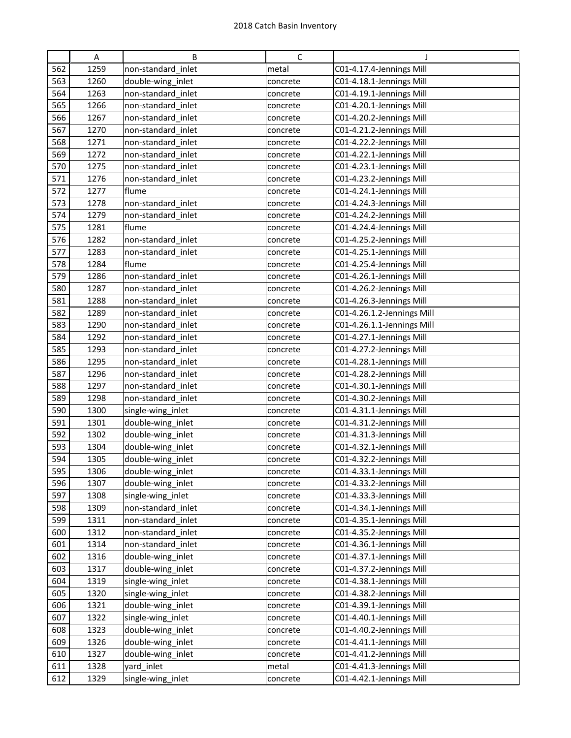|            | Α            | B                                      | $\mathsf{C}$         | J                                                    |
|------------|--------------|----------------------------------------|----------------------|------------------------------------------------------|
| 562        | 1259         | non-standard_inlet                     | metal                | C01-4.17.4-Jennings Mill                             |
| 563        | 1260         | double-wing_inlet                      | concrete             | C01-4.18.1-Jennings Mill                             |
| 564        | 1263         | non-standard inlet                     | concrete             | C01-4.19.1-Jennings Mill                             |
| 565        | 1266         | non-standard inlet                     | concrete             | C01-4.20.1-Jennings Mill                             |
| 566        | 1267         | non-standard inlet                     | concrete             | C01-4.20.2-Jennings Mill                             |
| 567        | 1270         | non-standard inlet                     | concrete             | C01-4.21.2-Jennings Mill                             |
| 568        | 1271         | non-standard inlet                     | concrete             | C01-4.22.2-Jennings Mill                             |
| 569        | 1272         | non-standard_inlet                     | concrete             | C01-4.22.1-Jennings Mill                             |
| 570        | 1275         | non-standard inlet                     | concrete             | C01-4.23.1-Jennings Mill                             |
| 571        | 1276         | non-standard inlet                     | concrete             | C01-4.23.2-Jennings Mill                             |
| 572        | 1277         | flume                                  | concrete             | C01-4.24.1-Jennings Mill                             |
| 573        | 1278         | non-standard inlet                     | concrete             | C01-4.24.3-Jennings Mill                             |
| 574        | 1279         | non-standard inlet                     | concrete             | C01-4.24.2-Jennings Mill                             |
| 575        | 1281         | flume                                  | concrete             | C01-4.24.4-Jennings Mill                             |
| 576        | 1282         | non-standard inlet                     | concrete             | C01-4.25.2-Jennings Mill                             |
| 577        | 1283         | non-standard inlet                     | concrete             | C01-4.25.1-Jennings Mill                             |
| 578        | 1284         | flume                                  | concrete             | C01-4.25.4-Jennings Mill                             |
| 579        | 1286         | non-standard inlet                     | concrete             | C01-4.26.1-Jennings Mill                             |
| 580        | 1287         | non-standard_inlet                     | concrete             | C01-4.26.2-Jennings Mill                             |
| 581        | 1288         | non-standard inlet                     | concrete             | C01-4.26.3-Jennings Mill                             |
| 582        | 1289         | non-standard inlet                     | concrete             | C01-4.26.1.2-Jennings Mill                           |
| 583        | 1290         | non-standard inlet                     | concrete             | C01-4.26.1.1-Jennings Mill                           |
| 584        | 1292         | non-standard inlet                     | concrete             | C01-4.27.1-Jennings Mill                             |
| 585        | 1293         | non-standard inlet                     | concrete             | C01-4.27.2-Jennings Mill                             |
| 586        | 1295         | non-standard inlet                     | concrete             | C01-4.28.1-Jennings Mill                             |
| 587        | 1296         | non-standard inlet                     | concrete             | C01-4.28.2-Jennings Mill                             |
| 588        | 1297         | non-standard inlet                     | concrete             | C01-4.30.1-Jennings Mill                             |
| 589        | 1298         | non-standard_inlet                     | concrete             | C01-4.30.2-Jennings Mill                             |
| 590        | 1300         | single-wing_inlet                      | concrete             | C01-4.31.1-Jennings Mill                             |
| 591        | 1301         | double-wing_inlet                      | concrete             | C01-4.31.2-Jennings Mill                             |
| 592        | 1302         | double-wing_inlet                      | concrete             | C01-4.31.3-Jennings Mill                             |
| 593        | 1304         | double-wing_inlet                      | concrete             | C01-4.32.1-Jennings Mill                             |
| 594        | 1305         | double-wing_inlet                      | concrete             | C01-4.32.2-Jennings Mill                             |
| 595        | 1306         | double-wing_inlet                      | concrete             | C01-4.33.1-Jennings Mill                             |
| 596        | 1307         | double-wing_inlet                      | concrete             | C01-4.33.2-Jennings Mill                             |
| 597        | 1308         | single-wing_inlet                      | concrete             | C01-4.33.3-Jennings Mill                             |
| 598        | 1309         | non-standard_inlet                     | concrete             | C01-4.34.1-Jennings Mill                             |
| 599        | 1311         | non-standard inlet                     | concrete             | C01-4.35.1-Jennings Mill                             |
| 600        | 1312         | non-standard_inlet                     | concrete             | C01-4.35.2-Jennings Mill                             |
| 601        | 1314         | non-standard_inlet                     | concrete             | C01-4.36.1-Jennings Mill                             |
| 602        | 1316         | double-wing_inlet                      | concrete             | C01-4.37.1-Jennings Mill                             |
| 603        | 1317         | double-wing_inlet                      | concrete             | C01-4.37.2-Jennings Mill                             |
| 604        | 1319         | single-wing_inlet                      | concrete             | C01-4.38.1-Jennings Mill                             |
| 605        | 1320         | single-wing_inlet                      | concrete             | C01-4.38.2-Jennings Mill                             |
| 606<br>607 | 1321         | double-wing_inlet                      | concrete             | C01-4.39.1-Jennings Mill                             |
| 608        | 1322<br>1323 | single-wing_inlet<br>double-wing_inlet | concrete             | C01-4.40.1-Jennings Mill<br>C01-4.40.2-Jennings Mill |
| 609        | 1326         | double-wing_inlet                      | concrete             | C01-4.41.1-Jennings Mill                             |
| 610        | 1327         | double-wing_inlet                      | concrete<br>concrete | C01-4.41.2-Jennings Mill                             |
| 611        | 1328         | yard_inlet                             | metal                | C01-4.41.3-Jennings Mill                             |
| 612        | 1329         | single-wing_inlet                      | concrete             | C01-4.42.1-Jennings Mill                             |
|            |              |                                        |                      |                                                      |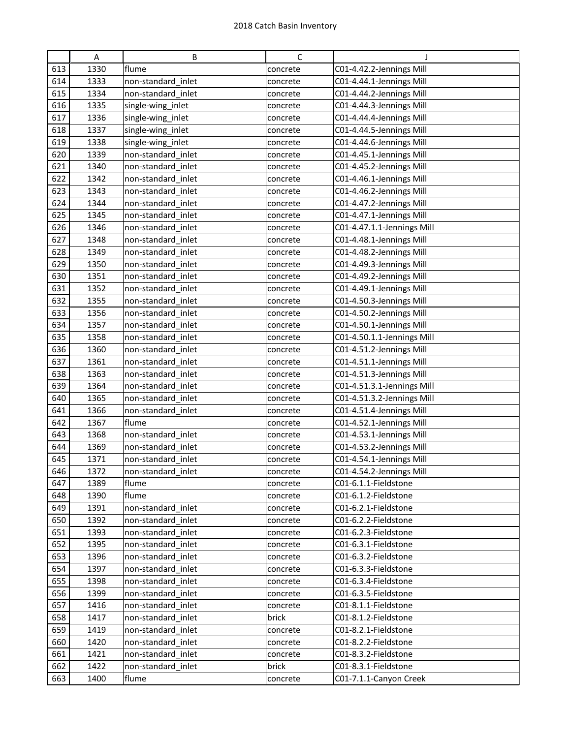|            | Α            | B                                        | С                 | J                                            |
|------------|--------------|------------------------------------------|-------------------|----------------------------------------------|
| 613        | 1330         | flume                                    | concrete          | C01-4.42.2-Jennings Mill                     |
| 614        | 1333         | non-standard inlet                       | concrete          | C01-4.44.1-Jennings Mill                     |
| 615        | 1334         | non-standard inlet                       | concrete          | C01-4.44.2-Jennings Mill                     |
| 616        | 1335         | single-wing_inlet                        | concrete          | C01-4.44.3-Jennings Mill                     |
| 617        | 1336         | single-wing_inlet                        | concrete          | C01-4.44.4-Jennings Mill                     |
| 618        | 1337         | single-wing_inlet                        | concrete          | C01-4.44.5-Jennings Mill                     |
| 619        | 1338         | single-wing_inlet                        | concrete          | C01-4.44.6-Jennings Mill                     |
| 620        | 1339         | non-standard inlet                       | concrete          | C01-4.45.1-Jennings Mill                     |
| 621        | 1340         | non-standard_inlet                       | concrete          | C01-4.45.2-Jennings Mill                     |
| 622        | 1342         | non-standard inlet                       | concrete          | C01-4.46.1-Jennings Mill                     |
| 623        | 1343         | non-standard inlet                       | concrete          | C01-4.46.2-Jennings Mill                     |
| 624        | 1344         | non-standard inlet                       | concrete          | C01-4.47.2-Jennings Mill                     |
| 625        | 1345         | non-standard inlet                       | concrete          | C01-4.47.1-Jennings Mill                     |
| 626        | 1346         | non-standard_inlet                       | concrete          | C01-4.47.1.1-Jennings Mill                   |
| 627        | 1348         | non-standard inlet                       | concrete          | C01-4.48.1-Jennings Mill                     |
| 628        | 1349         | non-standard inlet                       | concrete          | C01-4.48.2-Jennings Mill                     |
| 629        | 1350         | non-standard inlet                       | concrete          | C01-4.49.3-Jennings Mill                     |
| 630        | 1351         | non-standard_inlet                       | concrete          | C01-4.49.2-Jennings Mill                     |
| 631        | 1352         | non-standard inlet                       | concrete          | C01-4.49.1-Jennings Mill                     |
| 632        | 1355         | non-standard inlet                       | concrete          | C01-4.50.3-Jennings Mill                     |
| 633        | 1356         | non-standard inlet                       | concrete          | C01-4.50.2-Jennings Mill                     |
| 634        | 1357         | non-standard inlet                       | concrete          | C01-4.50.1-Jennings Mill                     |
| 635        | 1358         | non-standard inlet                       | concrete          | C01-4.50.1.1-Jennings Mill                   |
| 636        | 1360         | non-standard inlet                       | concrete          | C01-4.51.2-Jennings Mill                     |
| 637        | 1361         | non-standard_inlet                       | concrete          | C01-4.51.1-Jennings Mill                     |
| 638        | 1363         | non-standard inlet                       | concrete          | C01-4.51.3-Jennings Mill                     |
| 639        | 1364         | non-standard inlet                       | concrete          | C01-4.51.3.1-Jennings Mill                   |
| 640        | 1365         | non-standard inlet                       | concrete          | C01-4.51.3.2-Jennings Mill                   |
| 641        | 1366         | non-standard_inlet                       | concrete          | C01-4.51.4-Jennings Mill                     |
| 642        | 1367         | flume                                    | concrete          | C01-4.52.1-Jennings Mill                     |
| 643        | 1368         | non-standard_inlet                       | concrete          | C01-4.53.1-Jennings Mill                     |
| 644        | 1369         | non-standard inlet                       | concrete          | C01-4.53.2-Jennings Mill                     |
| 645        | 1371         | non-standard inlet                       | concrete          | C01-4.54.1-Jennings Mill                     |
| 646        | 1372         | non-standard_inlet                       | concrete          | C01-4.54.2-Jennings Mill                     |
| 647        | 1389         | flume                                    | concrete          | C01-6.1.1-Fieldstone                         |
| 648        | 1390         | flume                                    | concrete          | C01-6.1.2-Fieldstone                         |
| 649        | 1391         | non-standard inlet                       | concrete          | C01-6.2.1-Fieldstone                         |
| 650        | 1392         | non-standard inlet                       | concrete          | C01-6.2.2-Fieldstone                         |
| 651        | 1393         | non-standard inlet                       | concrete          | C01-6.2.3-Fieldstone                         |
| 652        | 1395         | non-standard inlet                       | concrete          | C01-6.3.1-Fieldstone                         |
| 653        | 1396         | non-standard inlet                       | concrete          | C01-6.3.2-Fieldstone                         |
| 654        | 1397         | non-standard_inlet                       | concrete          | C01-6.3.3-Fieldstone                         |
| 655        | 1398         | non-standard inlet                       | concrete          | C01-6.3.4-Fieldstone                         |
| 656        | 1399         | non-standard inlet                       | concrete          | C01-6.3.5-Fieldstone                         |
| 657        | 1416         | non-standard_inlet                       | concrete          | C01-8.1.1-Fieldstone                         |
| 658        | 1417         | non-standard inlet                       | brick             | C01-8.1.2-Fieldstone                         |
| 659        | 1419         | non-standard inlet                       | concrete          | C01-8.2.1-Fieldstone                         |
| 660<br>661 | 1420<br>1421 | non-standard inlet<br>non-standard inlet | concrete          | C01-8.2.2-Fieldstone<br>C01-8.3.2-Fieldstone |
| 662        | 1422         | non-standard inlet                       | concrete<br>brick | C01-8.3.1-Fieldstone                         |
| 663        |              | flume                                    |                   |                                              |
|            | 1400         |                                          | concrete          | C01-7.1.1-Canyon Creek                       |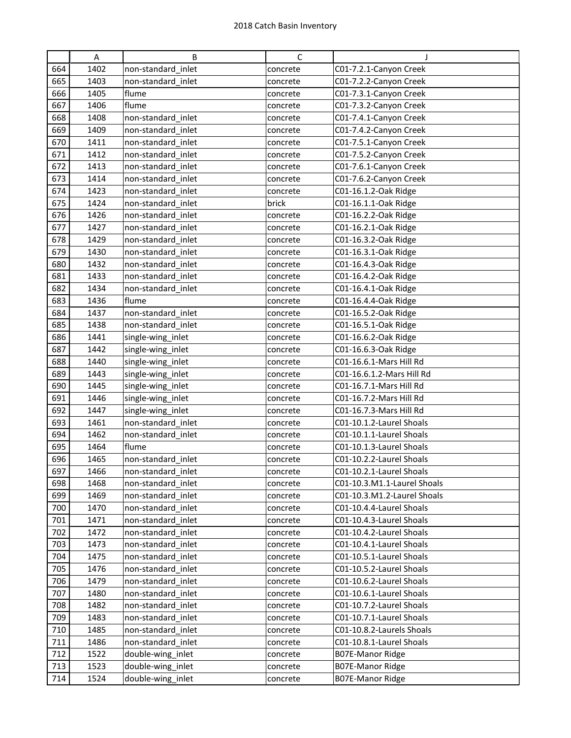|            | Α            | B                                       | С                    | J                                                   |
|------------|--------------|-----------------------------------------|----------------------|-----------------------------------------------------|
| 664        | 1402         | non-standard inlet                      | concrete             | C01-7.2.1-Canyon Creek                              |
| 665        | 1403         | non-standard inlet                      | concrete             | C01-7.2.2-Canyon Creek                              |
| 666        | 1405         | flume                                   | concrete             | C01-7.3.1-Canyon Creek                              |
| 667        | 1406         | flume                                   | concrete             | C01-7.3.2-Canyon Creek                              |
| 668        | 1408         | non-standard inlet                      | concrete             | C01-7.4.1-Canyon Creek                              |
| 669        | 1409         | non-standard inlet                      | concrete             | C01-7.4.2-Canyon Creek                              |
| 670        | 1411         | non-standard inlet                      | concrete             | C01-7.5.1-Canyon Creek                              |
| 671        | 1412         | non-standard inlet                      | concrete             | C01-7.5.2-Canyon Creek                              |
| 672        | 1413         | non-standard inlet                      | concrete             | C01-7.6.1-Canyon Creek                              |
| 673        | 1414         | non-standard inlet                      | concrete             | C01-7.6.2-Canyon Creek                              |
| 674        | 1423         | non-standard inlet                      | concrete             | C01-16.1.2-Oak Ridge                                |
| 675        | 1424         | non-standard inlet                      | brick                | C01-16.1.1-Oak Ridge                                |
| 676        | 1426         | non-standard inlet                      | concrete             | C01-16.2.2-Oak Ridge                                |
| 677        | 1427         | non-standard inlet                      | concrete             | C01-16.2.1-Oak Ridge                                |
| 678        | 1429         | non-standard inlet                      | concrete             | C01-16.3.2-Oak Ridge                                |
| 679        | 1430         | non-standard inlet                      | concrete             | C01-16.3.1-Oak Ridge                                |
| 680        | 1432         | non-standard inlet                      | concrete             | C01-16.4.3-Oak Ridge                                |
| 681        | 1433         | non-standard inlet                      | concrete             | C01-16.4.2-Oak Ridge                                |
| 682        | 1434         | non-standard inlet                      | concrete             | C01-16.4.1-Oak Ridge                                |
| 683        | 1436         | flume                                   | concrete             | C01-16.4.4-Oak Ridge                                |
| 684        | 1437         | non-standard inlet                      | concrete             | C01-16.5.2-Oak Ridge                                |
| 685        | 1438         | non-standard inlet                      | concrete             | C01-16.5.1-Oak Ridge                                |
| 686        | 1441         | single-wing_inlet                       | concrete             | C01-16.6.2-Oak Ridge                                |
| 687        | 1442         | single-wing_inlet                       | concrete             | C01-16.6.3-Oak Ridge                                |
| 688        | 1440         | single-wing_inlet                       | concrete             | C01-16.6.1-Mars Hill Rd                             |
| 689        | 1443         | single-wing_inlet                       | concrete             | C01-16.6.1.2-Mars Hill Rd                           |
| 690        | 1445         | single-wing_inlet                       | concrete             | C01-16.7.1-Mars Hill Rd                             |
| 691        | 1446         | single-wing_inlet                       | concrete             | C01-16.7.2-Mars Hill Rd                             |
| 692<br>693 | 1447<br>1461 | single-wing_inlet<br>non-standard inlet | concrete             | C01-16.7.3-Mars Hill Rd<br>C01-10.1.2-Laurel Shoals |
| 694        | 1462         | non-standard inlet                      | concrete<br>concrete | C01-10.1.1-Laurel Shoals                            |
| 695        | 1464         | flume                                   | concrete             | C01-10.1.3-Laurel Shoals                            |
| 696        | 1465         | non-standard inlet                      | concrete             | C01-10.2.2-Laurel Shoals                            |
| 697        | 1466         | non-standard_inlet                      | concrete             | C01-10.2.1-Laurel Shoals                            |
| 698        | 1468         | non-standard inlet                      | concrete             | C01-10.3.M1.1-Laurel Shoals                         |
| 699        | 1469         | non-standard_inlet                      | concrete             | C01-10.3.M1.2-Laurel Shoals                         |
| 700        | 1470         | non-standard inlet                      | concrete             | C01-10.4.4-Laurel Shoals                            |
| 701        | 1471         | non-standard inlet                      | concrete             | C01-10.4.3-Laurel Shoals                            |
| 702        | 1472         | non-standard inlet                      | concrete             | C01-10.4.2-Laurel Shoals                            |
| 703        | 1473         | non-standard inlet                      | concrete             | C01-10.4.1-Laurel Shoals                            |
| 704        | 1475         | non-standard inlet                      | concrete             | C01-10.5.1-Laurel Shoals                            |
| 705        | 1476         | non-standard_inlet                      | concrete             | C01-10.5.2-Laurel Shoals                            |
| 706        | 1479         | non-standard inlet                      | concrete             | C01-10.6.2-Laurel Shoals                            |
| 707        | 1480         | non-standard inlet                      | concrete             | C01-10.6.1-Laurel Shoals                            |
| 708        | 1482         | non-standard_inlet                      | concrete             | C01-10.7.2-Laurel Shoals                            |
| 709        | 1483         | non-standard inlet                      | concrete             | C01-10.7.1-Laurel Shoals                            |
| 710        | 1485         | non-standard_inlet                      | concrete             | C01-10.8.2-Laurels Shoals                           |
| 711        | 1486         | non-standard inlet                      | concrete             | C01-10.8.1-Laurel Shoals                            |
| 712        | 1522         | double-wing_inlet                       | concrete             | <b>B07E-Manor Ridge</b>                             |
| 713        | 1523         | double-wing_inlet                       | concrete             | <b>B07E-Manor Ridge</b>                             |
| 714        | 1524         | double-wing_inlet                       | concrete             | <b>B07E-Manor Ridge</b>                             |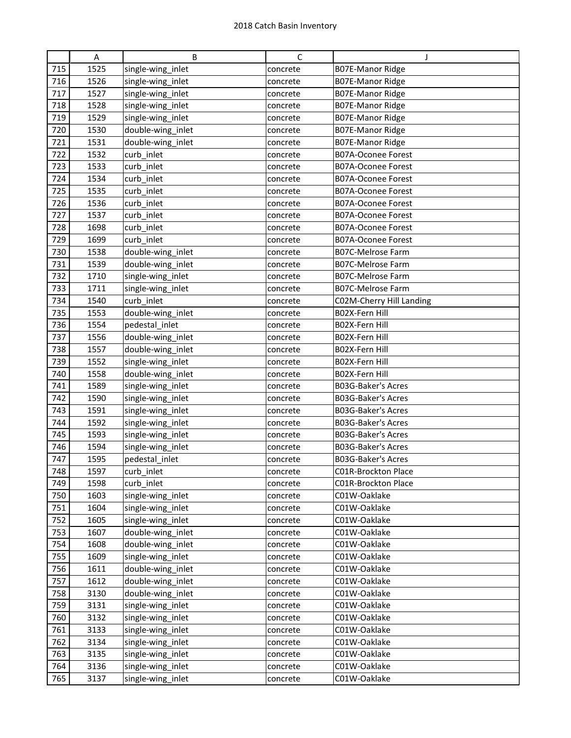|     | A    | B                 | C        | J                         |
|-----|------|-------------------|----------|---------------------------|
| 715 | 1525 | single-wing_inlet | concrete | <b>B07E-Manor Ridge</b>   |
| 716 | 1526 | single-wing_inlet | concrete | B07E-Manor Ridge          |
| 717 | 1527 | single-wing_inlet | concrete | B07E-Manor Ridge          |
| 718 | 1528 | single-wing_inlet | concrete | <b>B07E-Manor Ridge</b>   |
| 719 | 1529 | single-wing_inlet | concrete | <b>B07E-Manor Ridge</b>   |
| 720 | 1530 | double-wing_inlet | concrete | <b>B07E-Manor Ridge</b>   |
| 721 | 1531 | double-wing_inlet | concrete | <b>B07E-Manor Ridge</b>   |
| 722 | 1532 | curb_inlet        | concrete | <b>B07A-Oconee Forest</b> |
| 723 | 1533 | curb_inlet        | concrete | <b>B07A-Oconee Forest</b> |
| 724 | 1534 | curb_inlet        | concrete | <b>B07A-Oconee Forest</b> |
| 725 | 1535 | curb_inlet        | concrete | B07A-Oconee Forest        |
| 726 | 1536 | curb inlet        | concrete | B07A-Oconee Forest        |
| 727 | 1537 | curb_inlet        | concrete | <b>B07A-Oconee Forest</b> |
| 728 | 1698 | curb inlet        | concrete | <b>B07A-Oconee Forest</b> |
| 729 | 1699 | curb inlet        | concrete | <b>B07A-Oconee Forest</b> |
| 730 | 1538 | double-wing_inlet | concrete | <b>B07C-Melrose Farm</b>  |
| 731 | 1539 | double-wing_inlet | concrete | <b>B07C-Melrose Farm</b>  |
| 732 | 1710 | single-wing_inlet | concrete | <b>B07C-Melrose Farm</b>  |
| 733 | 1711 | single-wing_inlet | concrete | <b>B07C-Melrose Farm</b>  |
| 734 | 1540 | curb inlet        | concrete | C02M-Cherry Hill Landing  |
| 735 | 1553 | double-wing_inlet | concrete | B02X-Fern Hill            |
| 736 | 1554 | pedestal_inlet    | concrete | B02X-Fern Hill            |
| 737 | 1556 | double-wing_inlet | concrete | B02X-Fern Hill            |
| 738 | 1557 | double-wing_inlet | concrete | B02X-Fern Hill            |
| 739 | 1552 | single-wing_inlet | concrete | B02X-Fern Hill            |
| 740 | 1558 | double-wing_inlet | concrete | B02X-Fern Hill            |
| 741 | 1589 | single-wing_inlet | concrete | B03G-Baker's Acres        |
| 742 | 1590 | single-wing_inlet | concrete | <b>B03G-Baker's Acres</b> |
| 743 | 1591 | single-wing_inlet | concrete | B03G-Baker's Acres        |
| 744 | 1592 | single-wing_inlet | concrete | B03G-Baker's Acres        |
| 745 | 1593 | single-wing_inlet | concrete | B03G-Baker's Acres        |
| 746 | 1594 | single-wing_inlet | concrete | B03G-Baker's Acres        |
| 747 | 1595 | pedestal inlet    | concrete | B03G-Baker's Acres        |
| 748 | 1597 | curb inlet        | concrete | C01R-Brockton Place       |
| 749 | 1598 | curb inlet        | concrete | C01R-Brockton Place       |
| 750 | 1603 | single-wing_inlet | concrete | C01W-Oaklake              |
| 751 | 1604 | single-wing_inlet | concrete | C01W-Oaklake              |
| 752 | 1605 | single-wing_inlet | concrete | C01W-Oaklake              |
| 753 | 1607 | double-wing_inlet | concrete | C01W-Oaklake              |
| 754 | 1608 | double-wing_inlet | concrete | C01W-Oaklake              |
| 755 | 1609 | single-wing_inlet | concrete | C01W-Oaklake              |
| 756 | 1611 | double-wing_inlet | concrete | C01W-Oaklake              |
| 757 | 1612 | double-wing_inlet | concrete | C01W-Oaklake              |
| 758 | 3130 | double-wing_inlet | concrete | C01W-Oaklake              |
| 759 | 3131 | single-wing_inlet | concrete | C01W-Oaklake              |
| 760 | 3132 | single-wing_inlet | concrete | C01W-Oaklake              |
| 761 | 3133 | single-wing_inlet | concrete | C01W-Oaklake              |
| 762 | 3134 | single-wing_inlet | concrete | C01W-Oaklake              |
| 763 | 3135 | single-wing_inlet | concrete | C01W-Oaklake              |
| 764 | 3136 | single-wing_inlet | concrete | C01W-Oaklake              |
| 765 | 3137 | single-wing_inlet | concrete | C01W-Oaklake              |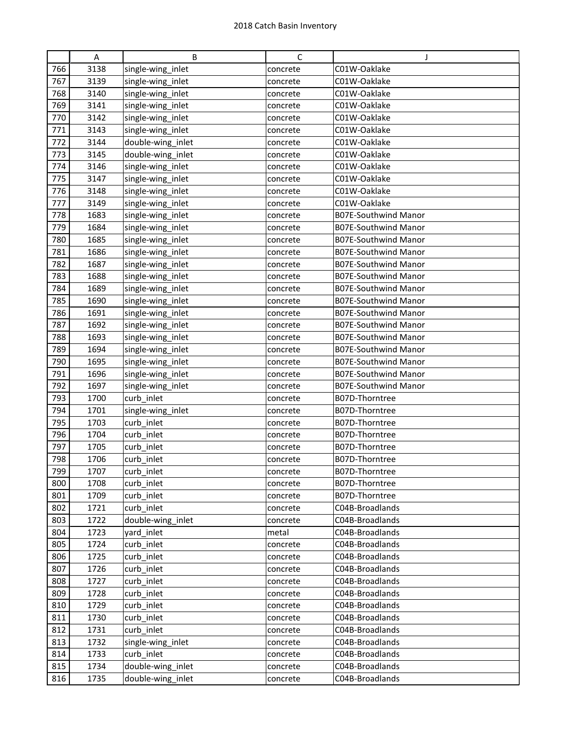|     | Α    | B                 | C        | J                           |
|-----|------|-------------------|----------|-----------------------------|
| 766 | 3138 | single-wing_inlet | concrete | C01W-Oaklake                |
| 767 | 3139 | single-wing_inlet | concrete | C01W-Oaklake                |
| 768 | 3140 | single-wing_inlet | concrete | C01W-Oaklake                |
| 769 | 3141 | single-wing_inlet | concrete | C01W-Oaklake                |
| 770 | 3142 | single-wing_inlet | concrete | C01W-Oaklake                |
| 771 | 3143 | single-wing_inlet | concrete | C01W-Oaklake                |
| 772 | 3144 | double-wing_inlet | concrete | C01W-Oaklake                |
| 773 | 3145 | double-wing_inlet | concrete | C01W-Oaklake                |
| 774 | 3146 | single-wing_inlet | concrete | C01W-Oaklake                |
| 775 | 3147 | single-wing_inlet | concrete | C01W-Oaklake                |
| 776 | 3148 | single-wing_inlet | concrete | C01W-Oaklake                |
| 777 | 3149 | single-wing_inlet | concrete | C01W-Oaklake                |
| 778 | 1683 | single-wing_inlet | concrete | <b>B07E-Southwind Manor</b> |
| 779 | 1684 | single-wing_inlet | concrete | <b>B07E-Southwind Manor</b> |
| 780 | 1685 | single-wing_inlet | concrete | <b>B07E-Southwind Manor</b> |
| 781 | 1686 | single-wing_inlet | concrete | <b>B07E-Southwind Manor</b> |
| 782 | 1687 | single-wing_inlet | concrete | <b>B07E-Southwind Manor</b> |
| 783 | 1688 | single-wing_inlet | concrete | <b>B07E-Southwind Manor</b> |
| 784 | 1689 | single-wing inlet | concrete | <b>B07E-Southwind Manor</b> |
| 785 | 1690 | single-wing_inlet | concrete | <b>B07E-Southwind Manor</b> |
| 786 | 1691 | single-wing_inlet | concrete | <b>B07E-Southwind Manor</b> |
| 787 | 1692 | single-wing_inlet | concrete | <b>B07E-Southwind Manor</b> |
| 788 | 1693 | single-wing_inlet | concrete | <b>B07E-Southwind Manor</b> |
| 789 | 1694 | single-wing_inlet | concrete | <b>B07E-Southwind Manor</b> |
| 790 | 1695 | single-wing_inlet | concrete | B07E-Southwind Manor        |
| 791 | 1696 | single-wing_inlet | concrete | <b>B07E-Southwind Manor</b> |
| 792 | 1697 | single-wing_inlet | concrete | <b>B07E-Southwind Manor</b> |
| 793 | 1700 | curb inlet        | concrete | B07D-Thorntree              |
| 794 | 1701 | single-wing_inlet | concrete | B07D-Thorntree              |
| 795 | 1703 | curb_inlet        | concrete | B07D-Thorntree              |
| 796 | 1704 | curb inlet        | concrete | B07D-Thorntree              |
| 797 | 1705 | curb_inlet        | concrete | B07D-Thorntree              |
| 798 | 1706 | curb inlet        | concrete | B07D-Thorntree              |
| 799 | 1707 | curb inlet        | concrete | B07D-Thorntree              |
| 800 | 1708 | curb_inlet        | concrete | B07D-Thorntree              |
| 801 | 1709 | curb inlet        | concrete | B07D-Thorntree              |
| 802 | 1721 | curb_inlet        | concrete | C04B-Broadlands             |
| 803 | 1722 | double-wing_inlet | concrete | C04B-Broadlands             |
| 804 | 1723 | yard_inlet        | metal    | C04B-Broadlands             |
| 805 | 1724 | curb_inlet        | concrete | C04B-Broadlands             |
| 806 | 1725 | curb_inlet        | concrete | C04B-Broadlands             |
| 807 | 1726 | curb inlet        | concrete | C04B-Broadlands             |
| 808 | 1727 | curb inlet        | concrete | C04B-Broadlands             |
| 809 | 1728 | curb inlet        | concrete | C04B-Broadlands             |
| 810 | 1729 | curb_inlet        | concrete | C04B-Broadlands             |
| 811 | 1730 | curb_inlet        | concrete | C04B-Broadlands             |
| 812 | 1731 | curb inlet        | concrete | C04B-Broadlands             |
| 813 | 1732 | single-wing_inlet | concrete | C04B-Broadlands             |
| 814 | 1733 | curb_inlet        | concrete | C04B-Broadlands             |
| 815 | 1734 | double-wing_inlet | concrete | C04B-Broadlands             |
| 816 | 1735 | double-wing_inlet | concrete | C04B-Broadlands             |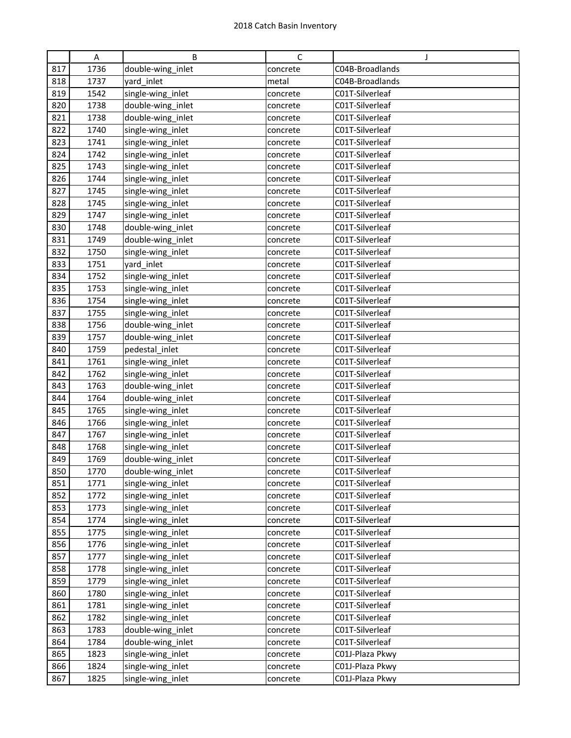|     | A    | B                 | $\mathsf{C}$ | J.              |
|-----|------|-------------------|--------------|-----------------|
| 817 | 1736 | double-wing_inlet | concrete     | C04B-Broadlands |
| 818 | 1737 | yard inlet        | metal        | C04B-Broadlands |
| 819 | 1542 | single-wing_inlet | concrete     | C01T-Silverleaf |
| 820 | 1738 | double-wing_inlet | concrete     | C01T-Silverleaf |
| 821 | 1738 | double-wing_inlet | concrete     | C01T-Silverleaf |
| 822 | 1740 | single-wing_inlet | concrete     | C01T-Silverleaf |
| 823 | 1741 | single-wing_inlet | concrete     | C01T-Silverleaf |
| 824 | 1742 | single-wing_inlet | concrete     | C01T-Silverleaf |
| 825 | 1743 | single-wing inlet | concrete     | C01T-Silverleaf |
| 826 | 1744 | single-wing_inlet | concrete     | C01T-Silverleaf |
| 827 | 1745 | single-wing_inlet | concrete     | C01T-Silverleaf |
| 828 | 1745 | single-wing_inlet | concrete     | C01T-Silverleaf |
| 829 | 1747 | single-wing_inlet | concrete     | C01T-Silverleaf |
| 830 | 1748 | double-wing_inlet | concrete     | C01T-Silverleaf |
| 831 | 1749 | double-wing inlet | concrete     | C01T-Silverleaf |
| 832 | 1750 | single-wing_inlet | concrete     | C01T-Silverleaf |
| 833 | 1751 | yard inlet        | concrete     | C01T-Silverleaf |
| 834 | 1752 | single-wing_inlet | concrete     | C01T-Silverleaf |
| 835 | 1753 | single-wing_inlet | concrete     | C01T-Silverleaf |
| 836 | 1754 | single-wing_inlet | concrete     | C01T-Silverleaf |
| 837 | 1755 | single-wing_inlet | concrete     | C01T-Silverleaf |
| 838 | 1756 | double-wing_inlet | concrete     | C01T-Silverleaf |
| 839 | 1757 | double-wing_inlet | concrete     | C01T-Silverleaf |
| 840 | 1759 | pedestal_inlet    | concrete     | C01T-Silverleaf |
| 841 | 1761 | single-wing_inlet | concrete     | C01T-Silverleaf |
| 842 | 1762 | single-wing_inlet | concrete     | C01T-Silverleaf |
| 843 | 1763 | double-wing_inlet | concrete     | C01T-Silverleaf |
| 844 | 1764 | double-wing_inlet | concrete     | C01T-Silverleaf |
| 845 | 1765 | single-wing_inlet | concrete     | C01T-Silverleaf |
| 846 | 1766 | single-wing_inlet | concrete     | C01T-Silverleaf |
| 847 | 1767 | single-wing_inlet | concrete     | C01T-Silverleaf |
| 848 | 1768 | single-wing_inlet | concrete     | C01T-Silverleaf |
| 849 | 1769 | double-wing_inlet | concrete     | C01T-Silverleaf |
| 850 | 1770 | double-wing_inlet | concrete     | C01T-Silverleaf |
| 851 | 1771 | single-wing_inlet | concrete     | C01T-Silverleaf |
| 852 | 1772 | single-wing_inlet | concrete     | C01T-Silverleaf |
| 853 | 1773 | single-wing_inlet | concrete     | C01T-Silverleaf |
| 854 | 1774 | single-wing_inlet | concrete     | C01T-Silverleaf |
| 855 | 1775 | single-wing_inlet | concrete     | C01T-Silverleaf |
| 856 | 1776 | single-wing_inlet | concrete     | C01T-Silverleaf |
| 857 | 1777 | single-wing_inlet | concrete     | C01T-Silverleaf |
| 858 | 1778 | single-wing inlet | concrete     | C01T-Silverleaf |
| 859 | 1779 | single-wing_inlet | concrete     | C01T-Silverleaf |
| 860 | 1780 | single-wing_inlet | concrete     | C01T-Silverleaf |
| 861 | 1781 | single-wing_inlet | concrete     | C01T-Silverleaf |
| 862 | 1782 | single-wing_inlet | concrete     | C01T-Silverleaf |
| 863 | 1783 | double-wing_inlet | concrete     | C01T-Silverleaf |
| 864 | 1784 | double-wing_inlet | concrete     | C01T-Silverleaf |
| 865 | 1823 | single-wing_inlet | concrete     | C01J-Plaza Pkwy |
| 866 | 1824 | single-wing_inlet | concrete     | C01J-Plaza Pkwy |
| 867 | 1825 | single-wing_inlet | concrete     | C01J-Plaza Pkwy |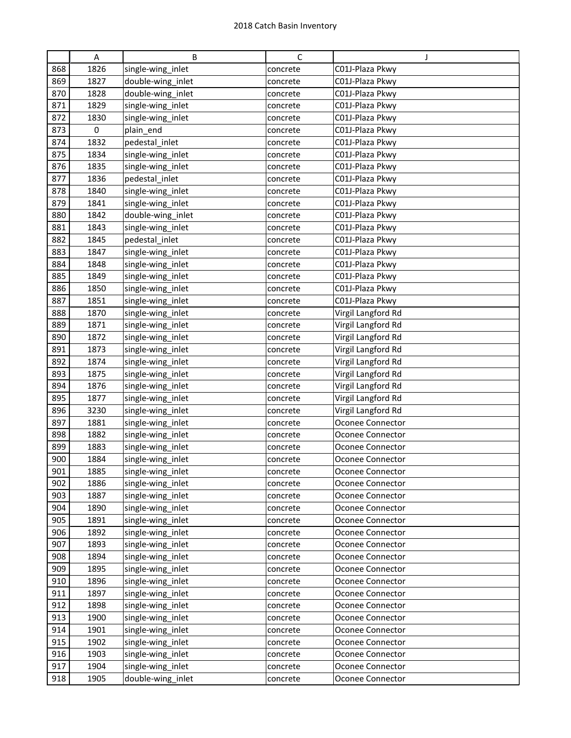|     | Α    | B                 | $\mathsf{C}$ | J                       |
|-----|------|-------------------|--------------|-------------------------|
| 868 | 1826 | single-wing_inlet | concrete     | C01J-Plaza Pkwy         |
| 869 | 1827 | double-wing_inlet | concrete     | C01J-Plaza Pkwy         |
| 870 | 1828 | double-wing_inlet | concrete     | C01J-Plaza Pkwy         |
| 871 | 1829 | single-wing_inlet | concrete     | C01J-Plaza Pkwy         |
| 872 | 1830 | single-wing_inlet | concrete     | C01J-Plaza Pkwy         |
| 873 | 0    | plain_end         | concrete     | C01J-Plaza Pkwy         |
| 874 | 1832 | pedestal_inlet    | concrete     | C01J-Plaza Pkwy         |
| 875 | 1834 | single-wing_inlet | concrete     | C01J-Plaza Pkwy         |
| 876 | 1835 | single-wing_inlet | concrete     | C01J-Plaza Pkwy         |
| 877 | 1836 | pedestal_inlet    | concrete     | C01J-Plaza Pkwy         |
| 878 | 1840 | single-wing_inlet | concrete     | C01J-Plaza Pkwy         |
| 879 | 1841 | single-wing_inlet | concrete     | C01J-Plaza Pkwy         |
| 880 | 1842 | double-wing_inlet | concrete     | C01J-Plaza Pkwy         |
| 881 | 1843 | single-wing_inlet | concrete     | C01J-Plaza Pkwy         |
| 882 | 1845 | pedestal inlet    | concrete     | C01J-Plaza Pkwy         |
| 883 | 1847 | single-wing_inlet | concrete     | C01J-Plaza Pkwy         |
| 884 | 1848 | single-wing_inlet | concrete     | C01J-Plaza Pkwy         |
| 885 | 1849 | single-wing_inlet | concrete     | C01J-Plaza Pkwy         |
| 886 | 1850 | single-wing_inlet | concrete     | C01J-Plaza Pkwy         |
| 887 | 1851 | single-wing_inlet | concrete     | C01J-Plaza Pkwy         |
| 888 | 1870 | single-wing_inlet | concrete     | Virgil Langford Rd      |
| 889 | 1871 | single-wing_inlet | concrete     | Virgil Langford Rd      |
| 890 | 1872 | single-wing_inlet | concrete     | Virgil Langford Rd      |
| 891 | 1873 | single-wing_inlet | concrete     | Virgil Langford Rd      |
| 892 | 1874 | single-wing_inlet | concrete     | Virgil Langford Rd      |
| 893 | 1875 | single-wing_inlet | concrete     | Virgil Langford Rd      |
| 894 | 1876 | single-wing_inlet | concrete     | Virgil Langford Rd      |
| 895 | 1877 | single-wing_inlet | concrete     | Virgil Langford Rd      |
| 896 | 3230 | single-wing_inlet | concrete     | Virgil Langford Rd      |
| 897 | 1881 | single-wing_inlet | concrete     | Oconee Connector        |
| 898 | 1882 | single-wing_inlet | concrete     | Oconee Connector        |
| 899 | 1883 | single-wing_inlet | concrete     | <b>Oconee Connector</b> |
| 900 | 1884 | single-wing_inlet | concrete     | Oconee Connector        |
| 901 | 1885 | single-wing inlet | concrete     | Oconee Connector        |
| 902 | 1886 | single-wing_inlet | concrete     | Oconee Connector        |
| 903 | 1887 | single-wing_inlet | concrete     | Oconee Connector        |
| 904 | 1890 | single-wing_inlet | concrete     | Oconee Connector        |
| 905 | 1891 | single-wing_inlet | concrete     | Oconee Connector        |
| 906 | 1892 | single-wing_inlet | concrete     | Oconee Connector        |
| 907 | 1893 | single-wing_inlet | concrete     | Oconee Connector        |
| 908 | 1894 | single-wing_inlet | concrete     | Oconee Connector        |
| 909 | 1895 | single-wing_inlet | concrete     | Oconee Connector        |
| 910 | 1896 | single-wing_inlet | concrete     | Oconee Connector        |
| 911 | 1897 | single-wing_inlet | concrete     | Oconee Connector        |
| 912 | 1898 | single-wing_inlet | concrete     | Oconee Connector        |
| 913 | 1900 | single-wing_inlet | concrete     | Oconee Connector        |
| 914 | 1901 | single-wing_inlet | concrete     | Oconee Connector        |
| 915 | 1902 | single-wing_inlet | concrete     | Oconee Connector        |
| 916 | 1903 | single-wing_inlet | concrete     | Oconee Connector        |
| 917 | 1904 | single-wing_inlet | concrete     | Oconee Connector        |
| 918 | 1905 | double-wing_inlet | concrete     | Oconee Connector        |
|     |      |                   |              |                         |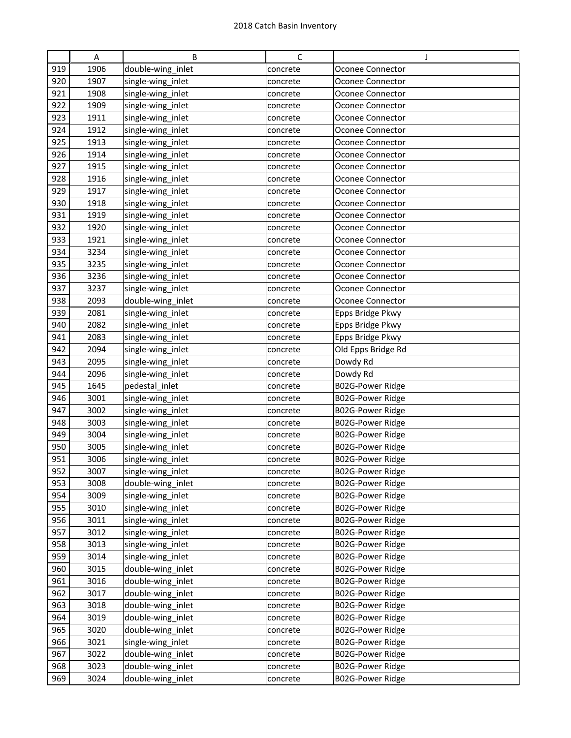|     | A    | B                 | $\mathsf{C}$ | J                       |
|-----|------|-------------------|--------------|-------------------------|
| 919 | 1906 | double-wing_inlet | concrete     | Oconee Connector        |
| 920 | 1907 | single-wing_inlet | concrete     | Oconee Connector        |
| 921 | 1908 | single-wing_inlet | concrete     | Oconee Connector        |
| 922 | 1909 | single-wing_inlet | concrete     | Oconee Connector        |
| 923 | 1911 | single-wing_inlet | concrete     | Oconee Connector        |
| 924 | 1912 | single-wing_inlet | concrete     | Oconee Connector        |
| 925 | 1913 | single-wing_inlet | concrete     | Oconee Connector        |
| 926 | 1914 | single-wing_inlet | concrete     | Oconee Connector        |
| 927 | 1915 | single-wing_inlet | concrete     | Oconee Connector        |
| 928 | 1916 | single-wing_inlet | concrete     | Oconee Connector        |
| 929 | 1917 | single-wing_inlet | concrete     | Oconee Connector        |
| 930 | 1918 | single-wing_inlet | concrete     | Oconee Connector        |
| 931 | 1919 | single-wing_inlet | concrete     | Oconee Connector        |
| 932 | 1920 | single-wing_inlet | concrete     | Oconee Connector        |
| 933 | 1921 | single-wing_inlet | concrete     | Oconee Connector        |
| 934 | 3234 | single-wing_inlet | concrete     | Oconee Connector        |
| 935 | 3235 | single-wing_inlet | concrete     | Oconee Connector        |
| 936 | 3236 | single-wing_inlet | concrete     | Oconee Connector        |
| 937 | 3237 | single-wing_inlet | concrete     | Oconee Connector        |
| 938 | 2093 | double-wing_inlet | concrete     | Oconee Connector        |
| 939 | 2081 | single-wing_inlet | concrete     | Epps Bridge Pkwy        |
| 940 | 2082 | single-wing_inlet | concrete     | Epps Bridge Pkwy        |
| 941 | 2083 | single-wing_inlet | concrete     | Epps Bridge Pkwy        |
| 942 | 2094 | single-wing_inlet | concrete     | Old Epps Bridge Rd      |
| 943 | 2095 | single-wing_inlet | concrete     | Dowdy Rd                |
| 944 | 2096 | single-wing_inlet | concrete     | Dowdy Rd                |
| 945 | 1645 | pedestal_inlet    | concrete     | B02G-Power Ridge        |
| 946 | 3001 | single-wing_inlet | concrete     | B02G-Power Ridge        |
| 947 | 3002 | single-wing_inlet | concrete     | B02G-Power Ridge        |
| 948 | 3003 | single-wing_inlet | concrete     | B02G-Power Ridge        |
| 949 | 3004 | single-wing_inlet | concrete     | B02G-Power Ridge        |
| 950 | 3005 | single-wing_inlet | concrete     | <b>B02G-Power Ridge</b> |
| 951 | 3006 | single-wing inlet | concrete     | B02G-Power Ridge        |
| 952 | 3007 | single-wing_inlet | concrete     | B02G-Power Ridge        |
| 953 | 3008 | double-wing_inlet | concrete     | B02G-Power Ridge        |
| 954 | 3009 | single-wing_inlet | concrete     | B02G-Power Ridge        |
| 955 | 3010 | single-wing_inlet | concrete     | B02G-Power Ridge        |
| 956 | 3011 | single-wing_inlet | concrete     | B02G-Power Ridge        |
| 957 | 3012 | single-wing_inlet | concrete     | B02G-Power Ridge        |
| 958 | 3013 | single-wing_inlet | concrete     | B02G-Power Ridge        |
| 959 | 3014 | single-wing_inlet | concrete     | B02G-Power Ridge        |
| 960 | 3015 | double-wing_inlet | concrete     | B02G-Power Ridge        |
| 961 | 3016 | double-wing_inlet | concrete     | B02G-Power Ridge        |
| 962 | 3017 | double-wing_inlet | concrete     | B02G-Power Ridge        |
| 963 | 3018 | double-wing_inlet | concrete     | B02G-Power Ridge        |
| 964 | 3019 | double-wing_inlet | concrete     | B02G-Power Ridge        |
| 965 | 3020 | double-wing_inlet | concrete     | B02G-Power Ridge        |
| 966 | 3021 | single-wing_inlet | concrete     | B02G-Power Ridge        |
| 967 | 3022 | double-wing_inlet | concrete     | B02G-Power Ridge        |
| 968 | 3023 | double-wing_inlet | concrete     | B02G-Power Ridge        |
| 969 | 3024 | double-wing_inlet | concrete     | B02G-Power Ridge        |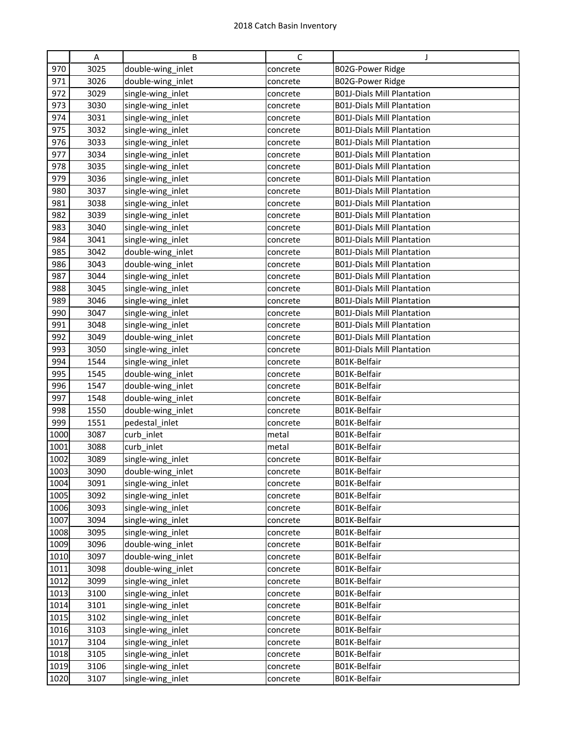|      | A    | B                 | C        | J                                 |
|------|------|-------------------|----------|-----------------------------------|
| 970  | 3025 | double-wing_inlet | concrete | B02G-Power Ridge                  |
| 971  | 3026 | double-wing inlet | concrete | B02G-Power Ridge                  |
| 972  | 3029 | single-wing_inlet | concrete | <b>B01J-Dials Mill Plantation</b> |
| 973  | 3030 | single-wing_inlet | concrete | <b>B01J-Dials Mill Plantation</b> |
| 974  | 3031 | single-wing_inlet | concrete | <b>B01J-Dials Mill Plantation</b> |
| 975  | 3032 | single-wing_inlet | concrete | <b>B01J-Dials Mill Plantation</b> |
| 976  | 3033 | single-wing_inlet | concrete | <b>B01J-Dials Mill Plantation</b> |
| 977  | 3034 | single-wing_inlet | concrete | <b>B01J-Dials Mill Plantation</b> |
| 978  | 3035 | single-wing_inlet | concrete | <b>B01J-Dials Mill Plantation</b> |
| 979  | 3036 | single-wing_inlet | concrete | <b>B01J-Dials Mill Plantation</b> |
| 980  | 3037 | single-wing_inlet | concrete | <b>B01J-Dials Mill Plantation</b> |
| 981  | 3038 | single-wing_inlet | concrete | <b>B01J-Dials Mill Plantation</b> |
| 982  | 3039 | single-wing_inlet | concrete | <b>B01J-Dials Mill Plantation</b> |
| 983  | 3040 | single-wing_inlet | concrete | <b>B01J-Dials Mill Plantation</b> |
| 984  | 3041 | single-wing_inlet | concrete | <b>B01J-Dials Mill Plantation</b> |
| 985  | 3042 | double-wing_inlet | concrete | <b>B01J-Dials Mill Plantation</b> |
| 986  | 3043 | double-wing_inlet | concrete | <b>B01J-Dials Mill Plantation</b> |
| 987  | 3044 | single-wing_inlet | concrete | <b>B01J-Dials Mill Plantation</b> |
| 988  | 3045 | single-wing_inlet | concrete | <b>B01J-Dials Mill Plantation</b> |
| 989  | 3046 | single-wing_inlet | concrete | <b>B01J-Dials Mill Plantation</b> |
| 990  | 3047 | single-wing_inlet | concrete | <b>B01J-Dials Mill Plantation</b> |
| 991  | 3048 | single-wing_inlet | concrete | <b>B01J-Dials Mill Plantation</b> |
| 992  | 3049 | double-wing_inlet | concrete | <b>B01J-Dials Mill Plantation</b> |
| 993  | 3050 | single-wing_inlet | concrete | <b>B01J-Dials Mill Plantation</b> |
| 994  | 1544 | single-wing_inlet | concrete | B01K-Belfair                      |
| 995  | 1545 | double-wing_inlet | concrete | B01K-Belfair                      |
| 996  | 1547 | double-wing_inlet | concrete | B01K-Belfair                      |
| 997  | 1548 | double-wing_inlet | concrete | B01K-Belfair                      |
| 998  | 1550 | double-wing_inlet | concrete | B01K-Belfair                      |
| 999  | 1551 | pedestal_inlet    | concrete | B01K-Belfair                      |
| 1000 | 3087 | curb_inlet        | metal    | B01K-Belfair                      |
| 1001 | 3088 | curb inlet        | metal    | B01K-Belfair                      |
| 1002 | 3089 | single-wing_inlet | concrete | B01K-Belfair                      |
| 1003 | 3090 | double-wing_inlet | concrete | B01K-Belfair                      |
| 1004 | 3091 | single-wing_inlet | concrete | B01K-Belfair                      |
| 1005 | 3092 | single-wing_inlet | concrete | B01K-Belfair                      |
| 1006 | 3093 | single-wing_inlet | concrete | B01K-Belfair                      |
| 1007 | 3094 | single-wing_inlet | concrete | B01K-Belfair                      |
| 1008 | 3095 | single-wing_inlet | concrete | B01K-Belfair                      |
| 1009 | 3096 | double-wing inlet | concrete | B01K-Belfair                      |
| 1010 | 3097 | double-wing_inlet | concrete | B01K-Belfair                      |
| 1011 | 3098 | double-wing_inlet | concrete | B01K-Belfair                      |
| 1012 | 3099 | single-wing_inlet | concrete | B01K-Belfair                      |
| 1013 | 3100 | single-wing_inlet | concrete | B01K-Belfair                      |
| 1014 | 3101 | single-wing_inlet | concrete | B01K-Belfair                      |
| 1015 | 3102 | single-wing_inlet | concrete | B01K-Belfair                      |
| 1016 | 3103 | single-wing_inlet | concrete | B01K-Belfair                      |
| 1017 | 3104 | single-wing_inlet | concrete | B01K-Belfair                      |
| 1018 | 3105 | single-wing_inlet | concrete | B01K-Belfair                      |
| 1019 | 3106 | single-wing_inlet | concrete | B01K-Belfair                      |
| 1020 | 3107 | single-wing_inlet | concrete | B01K-Belfair                      |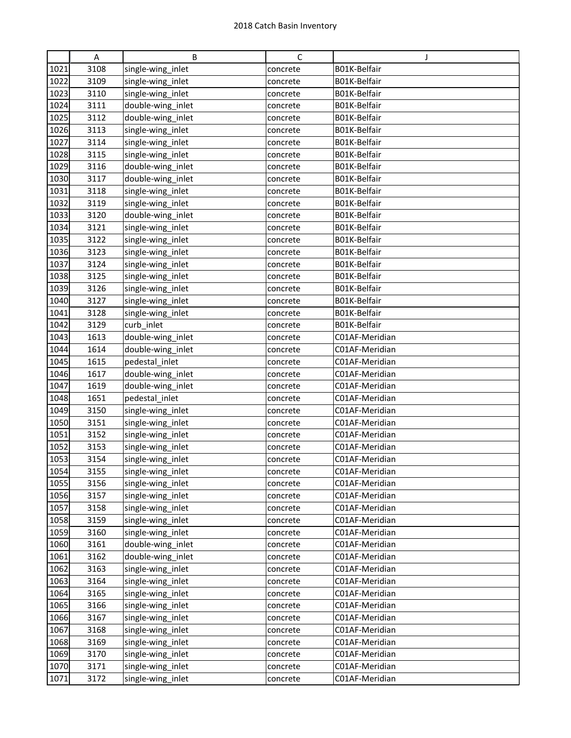|      | A    | B                 | $\mathsf{C}$ | J              |
|------|------|-------------------|--------------|----------------|
| 1021 | 3108 | single-wing_inlet | concrete     | B01K-Belfair   |
| 1022 | 3109 | single-wing_inlet | concrete     | B01K-Belfair   |
| 1023 | 3110 | single-wing_inlet | concrete     | B01K-Belfair   |
| 1024 | 3111 | double-wing_inlet | concrete     | B01K-Belfair   |
| 1025 | 3112 | double-wing_inlet | concrete     | B01K-Belfair   |
| 1026 | 3113 | single-wing_inlet | concrete     | B01K-Belfair   |
| 1027 | 3114 | single-wing_inlet | concrete     | B01K-Belfair   |
| 1028 | 3115 | single-wing_inlet | concrete     | B01K-Belfair   |
| 1029 | 3116 | double-wing_inlet | concrete     | B01K-Belfair   |
| 1030 | 3117 | double-wing_inlet | concrete     | B01K-Belfair   |
| 1031 | 3118 | single-wing_inlet | concrete     | B01K-Belfair   |
| 1032 | 3119 | single-wing_inlet | concrete     | B01K-Belfair   |
| 1033 | 3120 | double-wing_inlet | concrete     | B01K-Belfair   |
| 1034 | 3121 | single-wing_inlet | concrete     | B01K-Belfair   |
| 1035 | 3122 | single-wing_inlet | concrete     | B01K-Belfair   |
| 1036 | 3123 | single-wing_inlet | concrete     | B01K-Belfair   |
| 1037 | 3124 | single-wing_inlet | concrete     | B01K-Belfair   |
| 1038 | 3125 | single-wing_inlet | concrete     | B01K-Belfair   |
| 1039 | 3126 | single-wing_inlet | concrete     | B01K-Belfair   |
| 1040 | 3127 | single-wing_inlet | concrete     | B01K-Belfair   |
| 1041 | 3128 | single-wing_inlet | concrete     | B01K-Belfair   |
| 1042 | 3129 | curb_inlet        | concrete     | B01K-Belfair   |
| 1043 | 1613 | double-wing_inlet | concrete     | C01AF-Meridian |
| 1044 | 1614 | double-wing_inlet | concrete     | C01AF-Meridian |
| 1045 | 1615 | pedestal_inlet    | concrete     | C01AF-Meridian |
| 1046 | 1617 | double-wing_inlet | concrete     | C01AF-Meridian |
| 1047 | 1619 | double-wing_inlet | concrete     | C01AF-Meridian |
| 1048 | 1651 | pedestal_inlet    | concrete     | C01AF-Meridian |
| 1049 | 3150 | single-wing_inlet | concrete     | C01AF-Meridian |
| 1050 | 3151 | single-wing_inlet | concrete     | C01AF-Meridian |
| 1051 | 3152 | single-wing_inlet | concrete     | C01AF-Meridian |
| 1052 | 3153 | single-wing_inlet | concrete     | C01AF-Meridian |
| 1053 | 3154 | single-wing_inlet | concrete     | C01AF-Meridian |
| 1054 | 3155 | single-wing_inlet | concrete     | C01AF-Meridian |
| 1055 | 3156 | single-wing_inlet | concrete     | C01AF-Meridian |
| 1056 | 3157 | single-wing_inlet | concrete     | C01AF-Meridian |
| 1057 | 3158 | single-wing inlet | concrete     | C01AF-Meridian |
| 1058 | 3159 | single-wing_inlet | concrete     | C01AF-Meridian |
| 1059 | 3160 | single-wing_inlet | concrete     | C01AF-Meridian |
| 1060 | 3161 | double-wing_inlet | concrete     | C01AF-Meridian |
| 1061 | 3162 | double-wing_inlet | concrete     | C01AF-Meridian |
| 1062 | 3163 | single-wing inlet | concrete     | C01AF-Meridian |
| 1063 | 3164 | single-wing_inlet | concrete     | C01AF-Meridian |
| 1064 | 3165 | single-wing_inlet | concrete     | C01AF-Meridian |
| 1065 | 3166 | single-wing_inlet | concrete     | C01AF-Meridian |
| 1066 | 3167 | single-wing_inlet | concrete     | C01AF-Meridian |
| 1067 | 3168 | single-wing_inlet | concrete     | C01AF-Meridian |
| 1068 | 3169 | single-wing_inlet | concrete     | C01AF-Meridian |
| 1069 | 3170 | single-wing_inlet | concrete     | C01AF-Meridian |
| 1070 | 3171 | single-wing_inlet | concrete     | C01AF-Meridian |
|      |      |                   |              | C01AF-Meridian |
| 1071 | 3172 | single-wing_inlet | concrete     |                |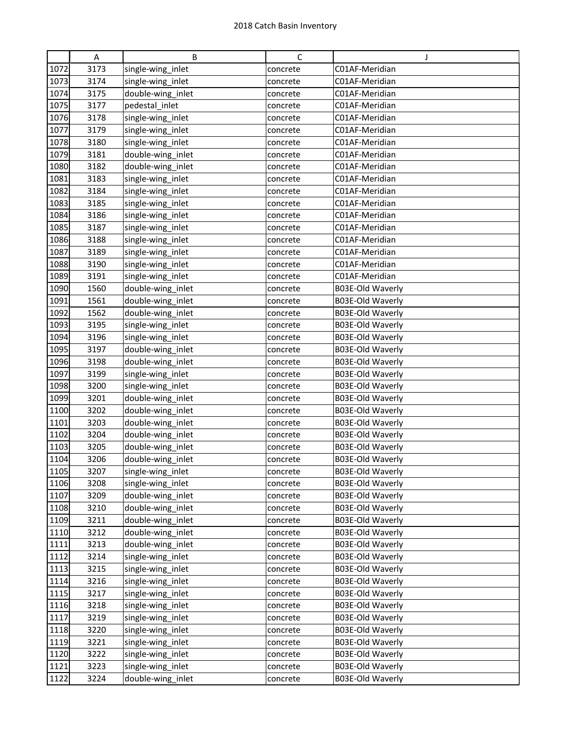|      | Α    | B                 | C        | J                |
|------|------|-------------------|----------|------------------|
| 1072 | 3173 | single-wing_inlet | concrete | C01AF-Meridian   |
| 1073 | 3174 |                   |          | C01AF-Meridian   |
|      |      | single-wing_inlet | concrete |                  |
| 1074 | 3175 | double-wing_inlet | concrete | C01AF-Meridian   |
| 1075 | 3177 | pedestal_inlet    | concrete | C01AF-Meridian   |
| 1076 | 3178 | single-wing_inlet | concrete | C01AF-Meridian   |
| 1077 | 3179 | single-wing_inlet | concrete | C01AF-Meridian   |
| 1078 | 3180 | single-wing_inlet | concrete | C01AF-Meridian   |
| 1079 | 3181 | double-wing_inlet | concrete | C01AF-Meridian   |
| 1080 | 3182 | double-wing_inlet | concrete | C01AF-Meridian   |
| 1081 | 3183 | single-wing_inlet | concrete | C01AF-Meridian   |
| 1082 | 3184 | single-wing_inlet | concrete | C01AF-Meridian   |
| 1083 | 3185 | single-wing_inlet | concrete | C01AF-Meridian   |
| 1084 | 3186 | single-wing_inlet | concrete | C01AF-Meridian   |
| 1085 | 3187 | single-wing_inlet | concrete | C01AF-Meridian   |
| 1086 | 3188 | single-wing_inlet | concrete | C01AF-Meridian   |
| 1087 | 3189 | single-wing_inlet | concrete | C01AF-Meridian   |
| 1088 | 3190 | single-wing_inlet | concrete | C01AF-Meridian   |
| 1089 | 3191 | single-wing_inlet | concrete | C01AF-Meridian   |
| 1090 | 1560 | double-wing_inlet | concrete | B03E-Old Waverly |
| 1091 | 1561 | double-wing inlet | concrete | B03E-Old Waverly |
| 1092 | 1562 | double-wing_inlet | concrete | B03E-Old Waverly |
| 1093 | 3195 | single-wing_inlet | concrete | B03E-Old Waverly |
| 1094 | 3196 | single-wing_inlet | concrete | B03E-Old Waverly |
| 1095 | 3197 | double-wing_inlet | concrete | B03E-Old Waverly |
| 1096 | 3198 | double-wing_inlet | concrete | B03E-Old Waverly |
| 1097 | 3199 | single-wing_inlet | concrete | B03E-Old Waverly |
| 1098 | 3200 | single-wing_inlet | concrete | B03E-Old Waverly |
| 1099 | 3201 | double-wing_inlet | concrete | B03E-Old Waverly |
| 1100 | 3202 | double-wing_inlet | concrete | B03E-Old Waverly |
| 1101 | 3203 | double-wing_inlet | concrete | B03E-Old Waverly |
| 1102 | 3204 | double-wing_inlet | concrete | B03E-Old Waverly |
| 1103 | 3205 | double-wing_inlet | concrete | B03E-Old Waverly |
| 1104 | 3206 | double-wing_inlet | concrete | B03E-Old Waverly |
| 1105 | 3207 | single-wing_inlet | concrete | B03E-Old Waverly |
| 1106 | 3208 | single-wing_inlet | concrete | B03E-Old Waverly |
| 1107 | 3209 | double-wing_inlet | concrete | B03E-Old Waverly |
| 1108 | 3210 | double-wing_inlet | concrete | B03E-Old Waverly |
| 1109 | 3211 | double-wing_inlet | concrete | B03E-Old Waverly |
| 1110 | 3212 | double-wing_inlet | concrete | B03E-Old Waverly |
| 1111 | 3213 | double-wing_inlet | concrete | B03E-Old Waverly |
| 1112 | 3214 | single-wing_inlet | concrete | B03E-Old Waverly |
| 1113 | 3215 | single-wing inlet | concrete | B03E-Old Waverly |
| 1114 | 3216 | single-wing_inlet | concrete | B03E-Old Waverly |
| 1115 | 3217 | single-wing_inlet | concrete | B03E-Old Waverly |
| 1116 | 3218 | single-wing_inlet | concrete | B03E-Old Waverly |
| 1117 | 3219 | single-wing_inlet | concrete | B03E-Old Waverly |
| 1118 | 3220 | single-wing_inlet | concrete | B03E-Old Waverly |
| 1119 | 3221 | single-wing_inlet | concrete | B03E-Old Waverly |
| 1120 | 3222 | single-wing_inlet | concrete | B03E-Old Waverly |
| 1121 | 3223 | single-wing_inlet | concrete | B03E-Old Waverly |
| 1122 | 3224 | double-wing_inlet | concrete | B03E-Old Waverly |